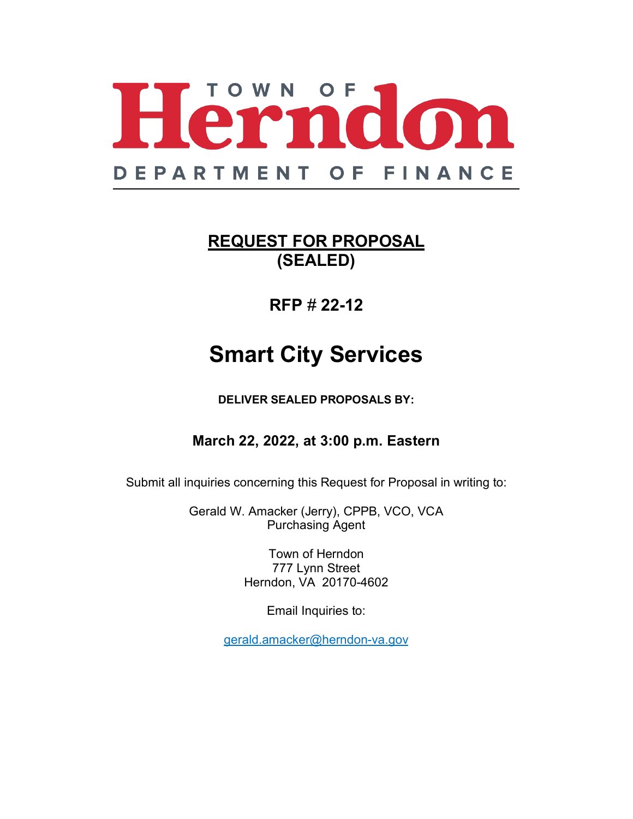

# **REQUEST FOR PROPOSAL (SEALED)**

# **RFP** # **22-12**

# **Smart City Services**

**DELIVER SEALED PROPOSALS BY:**

# **March 22, 2022, at 3:00 p.m. Eastern**

Submit all inquiries concerning this Request for Proposal in writing to:

Gerald W. Amacker (Jerry), CPPB, VCO, VCA Purchasing Agent

> Town of Herndon 777 Lynn Street Herndon, VA 20170-4602

> > Email Inquiries to:

gerald.amacker@herndon-va.gov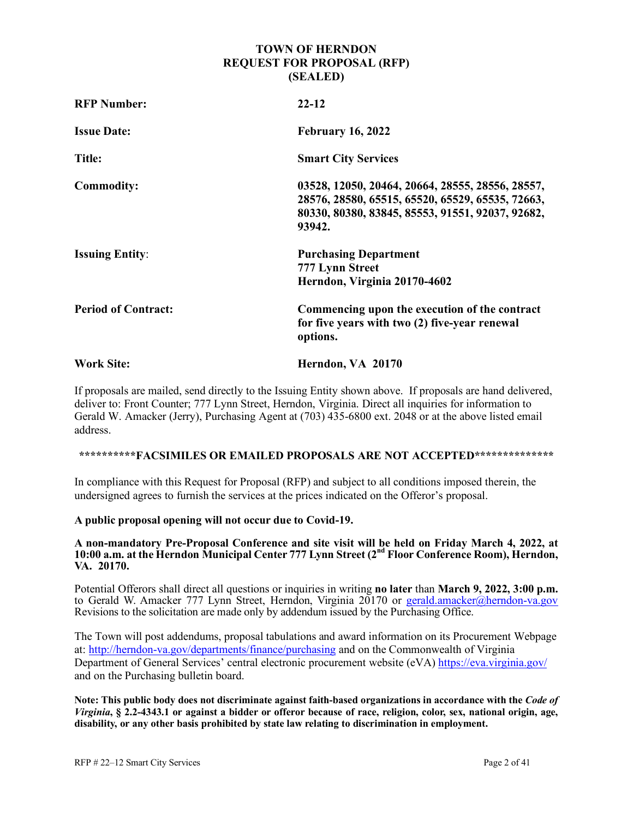#### **TOWN OF HERNDON REQUEST FOR PROPOSAL (RFP) (SEALED)**

| <b>RFP Number:</b>         | $22 - 12$                                                                                                                                                          |
|----------------------------|--------------------------------------------------------------------------------------------------------------------------------------------------------------------|
| <b>Issue Date:</b>         | <b>February 16, 2022</b>                                                                                                                                           |
| Title:                     | <b>Smart City Services</b>                                                                                                                                         |
| <b>Commodity:</b>          | 03528, 12050, 20464, 20664, 28555, 28556, 28557,<br>28576, 28580, 65515, 65520, 65529, 65535, 72663,<br>80330, 80380, 83845, 85553, 91551, 92037, 92682,<br>93942. |
| <b>Issuing Entity:</b>     | <b>Purchasing Department</b><br>777 Lynn Street<br>Herndon, Virginia 20170-4602                                                                                    |
| <b>Period of Contract:</b> | Commencing upon the execution of the contract<br>for five years with two (2) five-year renewal<br>options.                                                         |
| <b>Work Site:</b>          | Herndon, VA 20170                                                                                                                                                  |

If proposals are mailed, send directly to the Issuing Entity shown above. If proposals are hand delivered, deliver to: Front Counter; 777 Lynn Street, Herndon, Virginia. Direct all inquiries for information to Gerald W. Amacker (Jerry), Purchasing Agent at (703) 435-6800 ext. 2048 or at the above listed email address.

#### **\*\*\*\*\*\*\*\*\*\*FACSIMILES OR EMAILED PROPOSALS ARE NOT ACCEPTED\*\*\*\*\*\*\*\*\*\*\*\*\*\***

In compliance with this Request for Proposal (RFP) and subject to all conditions imposed therein, the undersigned agrees to furnish the services at the prices indicated on the Offeror's proposal.

#### **A public proposal opening will not occur due to Covid-19.**

#### **A non-mandatory Pre-Proposal Conference and site visit will be held on Friday March 4, 2022, at 10:00 a.m. at the Herndon Municipal Center 777 Lynn Street (2nd Floor Conference Room), Herndon, VA. 20170.**

Potential Offerors shall direct all questions or inquiries in writing **no later** than **March 9, 2022, 3:00 p.m.**  to Gerald W. Amacker 777 Lynn Street, Herndon, Virginia 20170 or [gerald.amacker@herndon-va.gov](mailto:gerald.amacker@herndon-va.gov) Revisions to the solicitation are made only by addendum issued by the Purchasing Office.

The Town will post addendums, proposal tabulations and award information on its Procurement Webpage at:<http://herndon-va.gov/departments/finance/purchasing> and on the Commonwealth of Virginia Department of General Services' central electronic procurement website (eVA)<https://eva.virginia.gov/> and on the Purchasing bulletin board.

**Note: This public body does not discriminate against faith-based organizations in accordance with the** *Code of Virginia***, § 2.2-4343.1 or against a bidder or offeror because of race, religion, color, sex, national origin, age, disability, or any other basis prohibited by state law relating to discrimination in employment.**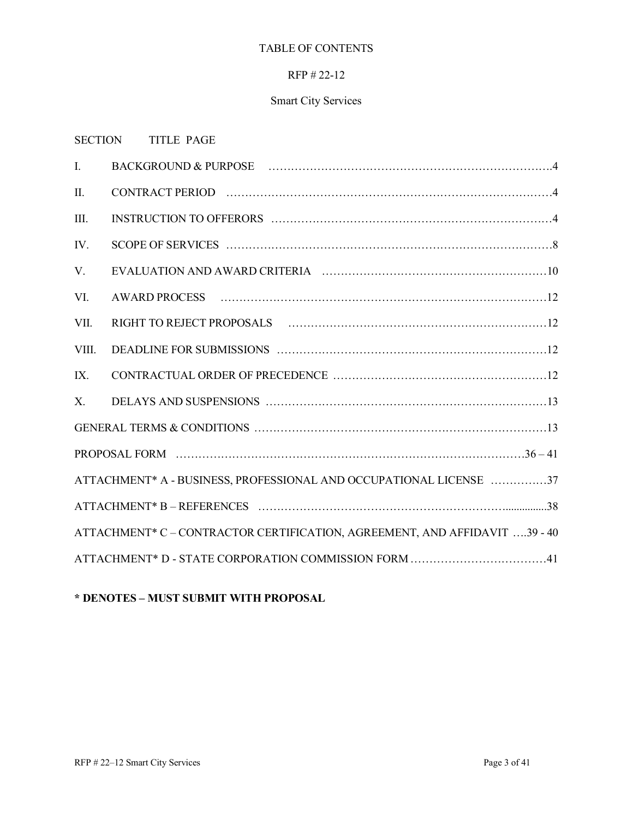#### TABLE OF CONTENTS

#### RFP # 22-12

## Smart City Services

#### SECTION TITLE PAGE

| $\mathbf{I}$ . |                                                                            |
|----------------|----------------------------------------------------------------------------|
| II.            |                                                                            |
| III.           |                                                                            |
| IV.            |                                                                            |
| V.             |                                                                            |
| VI.            |                                                                            |
| VII.           |                                                                            |
| VIII.          |                                                                            |
| IX.            |                                                                            |
| $X_{\cdot}$    |                                                                            |
|                |                                                                            |
|                |                                                                            |
|                | ATTACHMENT* A - BUSINESS, PROFESSIONAL AND OCCUPATIONAL LICENSE 37         |
|                |                                                                            |
|                | ATTACHMENT* C - CONTRACTOR CERTIFICATION, AGREEMENT, AND AFFIDAVIT 39 - 40 |
|                | ATTACHMENT* D - STATE CORPORATION COMMISSION FORM 41                       |

### **\* DENOTES – MUST SUBMIT WITH PROPOSAL**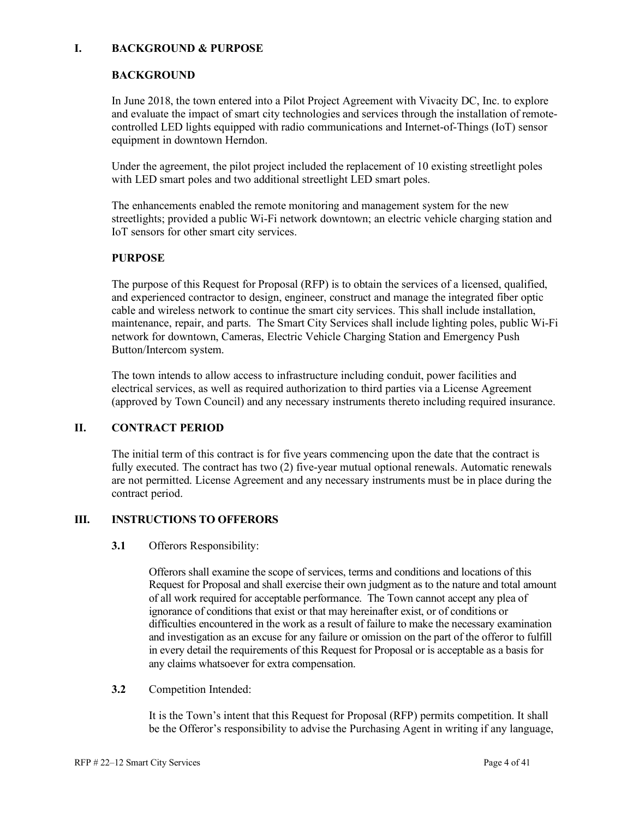#### **I. BACKGROUND & PURPOSE**

#### **BACKGROUND**

In June 2018, the town entered into a Pilot Project Agreement with Vivacity DC, Inc. to explore and evaluate the impact of smart city technologies and services through the installation of remotecontrolled LED lights equipped with radio communications and Internet-of-Things (IoT) sensor equipment in downtown Herndon.

Under the agreement, the pilot project included the replacement of 10 existing streetlight poles with LED smart poles and two additional streetlight LED smart poles.

The enhancements enabled the remote monitoring and management system for the new streetlights; provided a public Wi-Fi network downtown; an electric vehicle charging station and IoT sensors for other smart city services.

#### **PURPOSE**

The purpose of this Request for Proposal (RFP) is to obtain the services of a licensed, qualified, and experienced contractor to design, engineer, construct and manage the integrated fiber optic cable and wireless network to continue the smart city services. This shall include installation, maintenance, repair, and parts. The Smart City Services shall include lighting poles, public Wi-Fi network for downtown, Cameras, Electric Vehicle Charging Station and Emergency Push Button/Intercom system.

The town intends to allow access to infrastructure including conduit, power facilities and electrical services, as well as required authorization to third parties via a License Agreement (approved by Town Council) and any necessary instruments thereto including required insurance.

#### **II. CONTRACT PERIOD**

The initial term of this contract is for five years commencing upon the date that the contract is fully executed. The contract has two (2) five-year mutual optional renewals. Automatic renewals are not permitted. License Agreement and any necessary instruments must be in place during the contract period.

#### **III. INSTRUCTIONS TO OFFERORS**

#### **3.1** Offerors Responsibility:

Offerors shall examine the scope of services, terms and conditions and locations of this Request for Proposal and shall exercise their own judgment as to the nature and total amount of all work required for acceptable performance. The Town cannot accept any plea of ignorance of conditions that exist or that may hereinafter exist, or of conditions or difficulties encountered in the work as a result of failure to make the necessary examination and investigation as an excuse for any failure or omission on the part of the offeror to fulfill in every detail the requirements of this Request for Proposal or is acceptable as a basis for any claims whatsoever for extra compensation.

#### **3.2** Competition Intended:

It is the Town's intent that this Request for Proposal (RFP) permits competition. It shall be the Offeror's responsibility to advise the Purchasing Agent in writing if any language,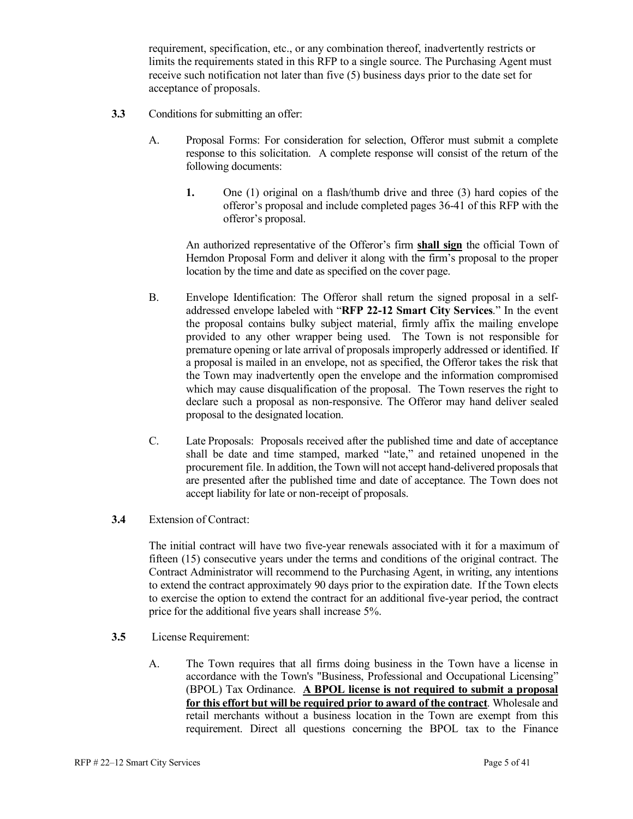requirement, specification, etc., or any combination thereof, inadvertently restricts or limits the requirements stated in this RFP to a single source. The Purchasing Agent must receive such notification not later than five (5) business days prior to the date set for acceptance of proposals.

- **3.3** Conditions for submitting an offer:
	- A. Proposal Forms: For consideration for selection, Offeror must submit a complete response to this solicitation. A complete response will consist of the return of the following documents:
		- **1.** One (1) original on a flash/thumb drive and three (3) hard copies of the offeror's proposal and include completed pages 36-41 of this RFP with the offeror's proposal.

An authorized representative of the Offeror's firm **shall sign** the official Town of Herndon Proposal Form and deliver it along with the firm's proposal to the proper location by the time and date as specified on the cover page.

- B. Envelope Identification: The Offeror shall return the signed proposal in a selfaddressed envelope labeled with "**RFP 22-12 Smart City Services**." In the event the proposal contains bulky subject material, firmly affix the mailing envelope provided to any other wrapper being used. The Town is not responsible for premature opening or late arrival of proposals improperly addressed or identified. If a proposal is mailed in an envelope, not as specified, the Offeror takes the risk that the Town may inadvertently open the envelope and the information compromised which may cause disqualification of the proposal. The Town reserves the right to declare such a proposal as non-responsive. The Offeror may hand deliver sealed proposal to the designated location.
- C. Late Proposals: Proposals received after the published time and date of acceptance shall be date and time stamped, marked "late," and retained unopened in the procurement file. In addition, the Town will not accept hand-delivered proposals that are presented after the published time and date of acceptance. The Town does not accept liability for late or non-receipt of proposals.
- **3.4** Extension of Contract:

The initial contract will have two five-year renewals associated with it for a maximum of fifteen (15) consecutive years under the terms and conditions of the original contract. The Contract Administrator will recommend to the Purchasing Agent, in writing, any intentions to extend the contract approximately 90 days prior to the expiration date. If the Town elects to exercise the option to extend the contract for an additional five-year period, the contract price for the additional five years shall increase 5%.

- **3.5** License Requirement:
	- A. The Town requires that all firms doing business in the Town have a license in accordance with the Town's "Business, Professional and Occupational Licensing" (BPOL) Tax Ordinance. **A BPOL license is not required to submit a proposal for this effort but will be required prior to award of the contract**. Wholesale and retail merchants without a business location in the Town are exempt from this requirement. Direct all questions concerning the BPOL tax to the Finance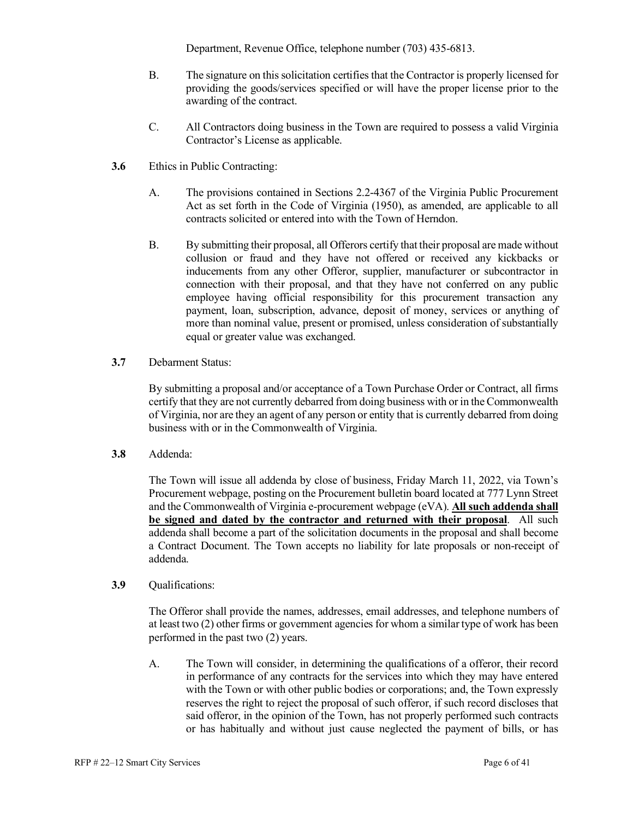Department, Revenue Office, telephone number (703) 435-6813.

- B. The signature on this solicitation certifies that the Contractor is properly licensed for providing the goods/services specified or will have the proper license prior to the awarding of the contract.
- C. All Contractors doing business in the Town are required to possess a valid Virginia Contractor's License as applicable.
- **3.6** Ethics in Public Contracting:
	- A. The provisions contained in Sections 2.2-4367 of the Virginia Public Procurement Act as set forth in the Code of Virginia (1950), as amended, are applicable to all contracts solicited or entered into with the Town of Herndon.
	- B. By submitting their proposal, all Offerors certify that their proposal are made without collusion or fraud and they have not offered or received any kickbacks or inducements from any other Offeror, supplier, manufacturer or subcontractor in connection with their proposal, and that they have not conferred on any public employee having official responsibility for this procurement transaction any payment, loan, subscription, advance, deposit of money, services or anything of more than nominal value, present or promised, unless consideration of substantially equal or greater value was exchanged.
- **3.7** Debarment Status:

By submitting a proposal and/or acceptance of a Town Purchase Order or Contract, all firms certify that they are not currently debarred from doing business with or in the Commonwealth of Virginia, nor are they an agent of any person or entity that is currently debarred from doing business with or in the Commonwealth of Virginia.

**3.8** Addenda:

The Town will issue all addenda by close of business, Friday March 11, 2022, via Town's Procurement webpage, posting on the Procurement bulletin board located at 777 Lynn Street and the Commonwealth of Virginia e-procurement webpage (eVA). **All such addenda shall be signed and dated by the contractor and returned with their proposal**. All such addenda shall become a part of the solicitation documents in the proposal and shall become a Contract Document. The Town accepts no liability for late proposals or non-receipt of addenda.

**3.9** Qualifications:

The Offeror shall provide the names, addresses, email addresses, and telephone numbers of at least two (2) other firms or government agencies for whom a similar type of work has been performed in the past two (2) years.

A. The Town will consider, in determining the qualifications of a offeror, their record in performance of any contracts for the services into which they may have entered with the Town or with other public bodies or corporations; and, the Town expressly reserves the right to reject the proposal of such offeror, if such record discloses that said offeror, in the opinion of the Town, has not properly performed such contracts or has habitually and without just cause neglected the payment of bills, or has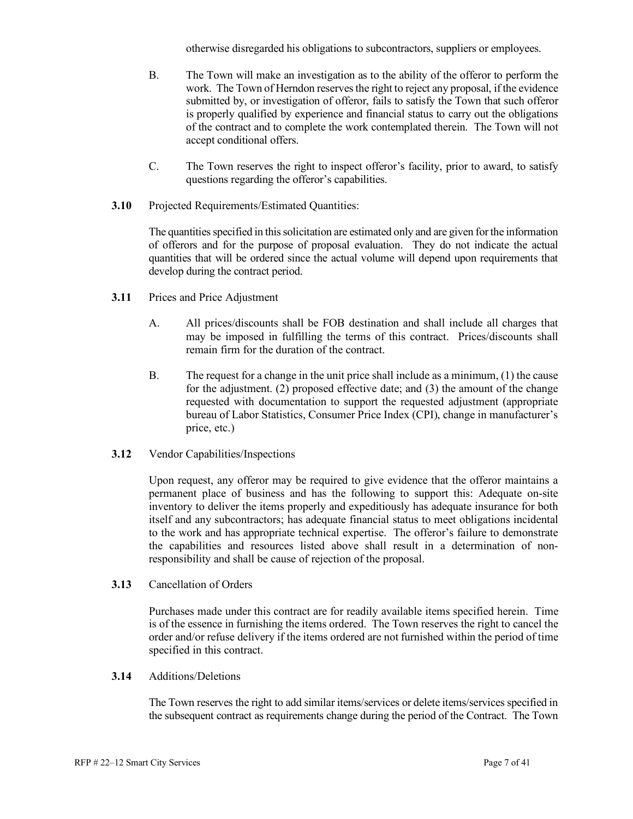otherwise disregarded his obligations to subcontractors, suppliers or employees.

- B. The Town will make an investigation as to the ability of the offeror to perform the work. The Town of Herndon reserves the right to reject any proposal, if the evidence submitted by, or investigation of offeror, fails to satisfy the Town that such offeror is properly qualified by experience and financial status to carry out the obligations of the contract and to complete the work contemplated therein. The Town will not accept conditional offers.
- C. The Town reserves the right to inspect offeror's facility, prior to award, to satisfy questions regarding the offeror's capabilities.
- **3.10** Projected Requirements/Estimated Quantities:

The quantities specified in this solicitation are estimated only and are given for the information of offerors and for the purpose of proposal evaluation. They do not indicate the actual quantities that will be ordered since the actual volume will depend upon requirements that develop during the contract period.

- **3.11** Prices and Price Adjustment
	- A. All prices/discounts shall be FOB destination and shall include all charges that may be imposed in fulfilling the terms of this contract. Prices/discounts shall remain firm for the duration of the contract.
	- B. The request for a change in the unit price shall include as a minimum, (1) the cause for the adjustment. (2) proposed effective date; and (3) the amount of the change requested with documentation to support the requested adjustment (appropriate bureau of Labor Statistics, Consumer Price Index (CPI), change in manufacturer's price, etc.)
- **3.12** Vendor Capabilities/Inspections

Upon request, any offeror may be required to give evidence that the offeror maintains a permanent place of business and has the following to support this: Adequate on-site inventory to deliver the items properly and expeditiously has adequate insurance for both itself and any subcontractors; has adequate financial status to meet obligations incidental to the work and has appropriate technical expertise. The offeror's failure to demonstrate the capabilities and resources listed above shall result in a determination of nonresponsibility and shall be cause of rejection of the proposal.

**3.13** Cancellation of Orders

Purchases made under this contract are for readily available items specified herein. Time is of the essence in furnishing the items ordered. The Town reserves the right to cancel the order and/or refuse delivery if the items ordered are not furnished within the period of time specified in this contract.

**3.14** Additions/Deletions

The Town reserves the right to add similar items/services or delete items/services specified in the subsequent contract as requirements change during the period of the Contract. The Town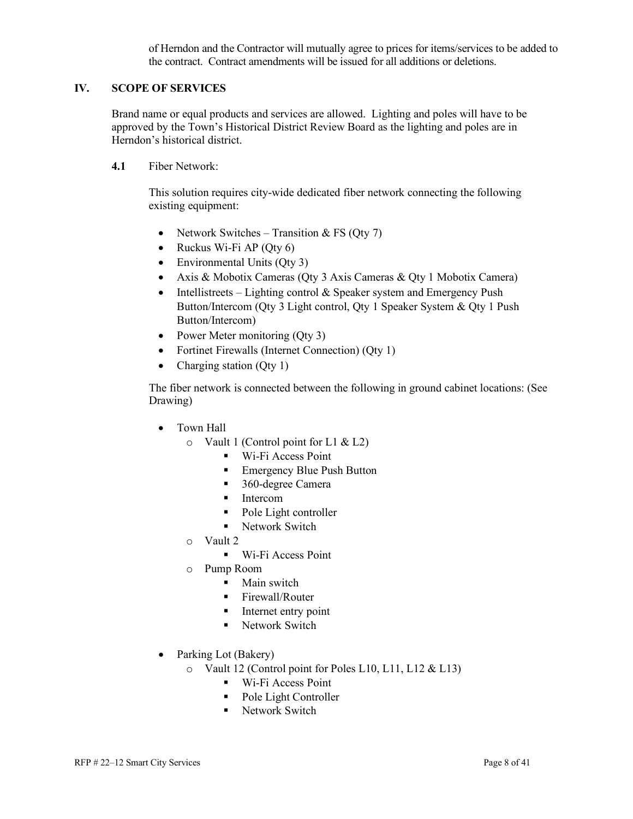of Herndon and the Contractor will mutually agree to prices for items/services to be added to the contract. Contract amendments will be issued for all additions or deletions.

#### **IV. SCOPE OF SERVICES**

Brand name or equal products and services are allowed. Lighting and poles will have to be approved by the Town's Historical District Review Board as the lighting and poles are in Herndon's historical district.

**4.1** Fiber Network:

This solution requires city-wide dedicated fiber network connecting the following existing equipment:

- Network Switches Transition & FS (Qty 7)
- Ruckus Wi-Fi AP (Qty  $6$ )
- Environmental Units (Oty 3)
- Axis & Mobotix Cameras (Qty 3 Axis Cameras & Qty 1 Mobotix Camera)
- Intellistreets Lighting control  $&$  Speaker system and Emergency Push Button/Intercom (Qty 3 Light control, Qty 1 Speaker System & Qty 1 Push Button/Intercom)
- Power Meter monitoring (Qty 3)
- Fortinet Firewalls (Internet Connection) (Qty 1)
- Charging station (Qty 1)

The fiber network is connected between the following in ground cabinet locations: (See Drawing)

- Town Hall
	- o Vault 1 (Control point for L1 & L2)
		- **Wi-Fi Access Point**
		- Emergency Blue Push Button
		- 360-degree Camera
		- **Intercom**
		- Pole Light controller
		- Network Switch
	- o Vault 2
		- **Wi-Fi Access Point**
	- o Pump Room
		- Main switch
		- **Firewall/Router**
		- Internet entry point
		- **Network Switch**
- Parking Lot (Bakery)
	- o Vault 12 (Control point for Poles L10, L11, L12 & L13)
		- Wi-Fi Access Point
		- Pole Light Controller
		- **Network Switch**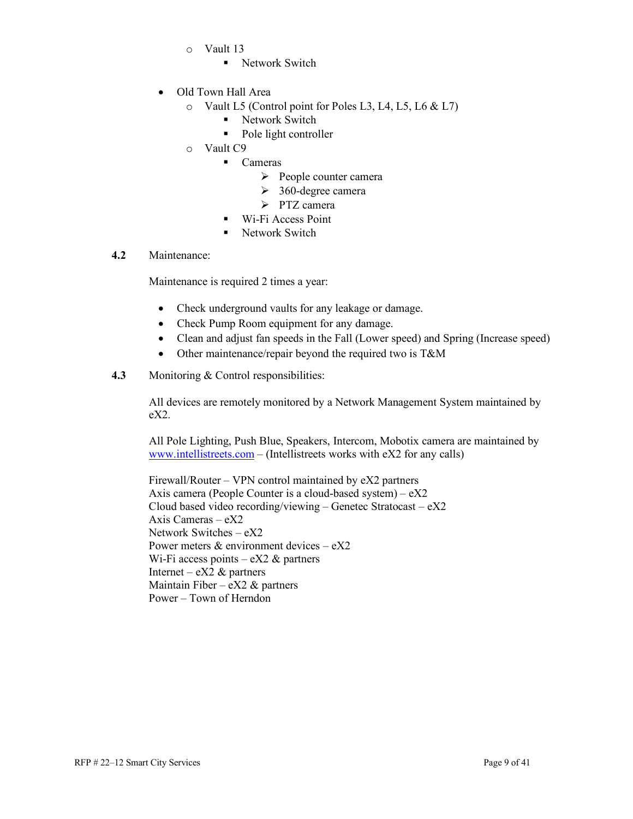- o Vault 13
	- **Network Switch**
- Old Town Hall Area
	- o Vault L5 (Control point for Poles L3, L4, L5, L6 & L7)
		- Network Switch
		- Pole light controller
	- o Vault C9
		- Cameras
			- $\triangleright$  People counter camera
			- $\geq$  360-degree camera
			- > PTZ camera
		- Wi-Fi Access Point
		- **Network Switch**

#### **4.2** Maintenance:

Maintenance is required 2 times a year:

- Check underground vaults for any leakage or damage.
- Check Pump Room equipment for any damage.
- Clean and adjust fan speeds in the Fall (Lower speed) and Spring (Increase speed)
- Other maintenance/repair beyond the required two is T&M
- **4.3** Monitoring & Control responsibilities:

All devices are remotely monitored by a Network Management System maintained by eX2.

All Pole Lighting, Push Blue, Speakers, Intercom, Mobotix camera are maintained by [www.intellistreets.com](http://www.intellistreets.com/) – (Intellistreets works with eX2 for any calls)

Firewall/Router – VPN control maintained by eX2 partners Axis camera (People Counter is a cloud-based system) – eX2 Cloud based video recording/viewing – Genetec Stratocast – eX2 Axis Cameras  $-eX2$ Network Switches – eX2 Power meters & environment devices – eX2 Wi-Fi access points –  $eX2 \&$  partners Internet – eX2  $\&$  partners Maintain Fiber –  $eX2 \&$  partners Power – Town of Herndon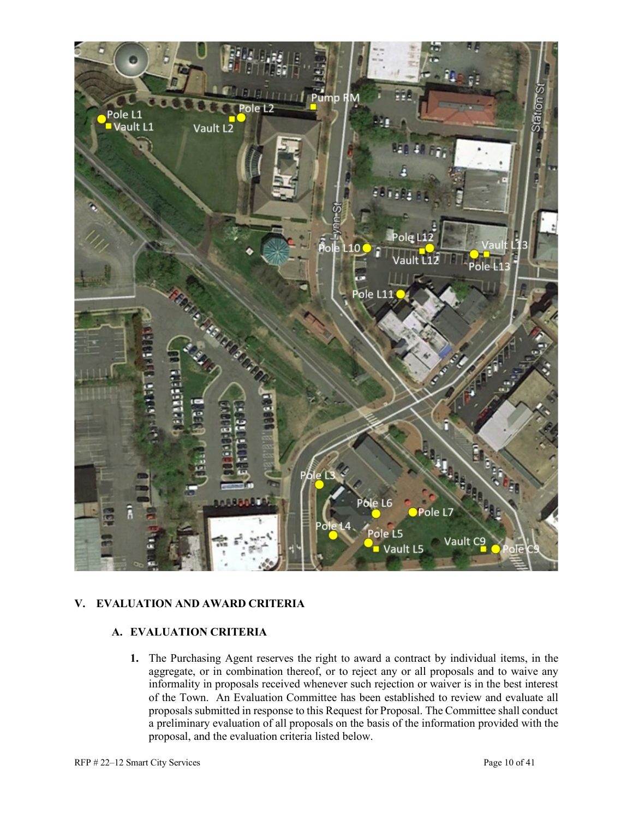

#### **V. EVALUATION AND AWARD CRITERIA**

#### **A. EVALUATION CRITERIA**

**1.** The Purchasing Agent reserves the right to award a contract by individual items, in the aggregate, or in combination thereof, or to reject any or all proposals and to waive any informality in proposals received whenever such rejection or waiver is in the best interest of the Town. An Evaluation Committee has been established to review and evaluate all proposals submitted in response to this Request for Proposal. The Committee shall conduct a preliminary evaluation of all proposals on the basis of the information provided with the proposal, and the evaluation criteria listed below.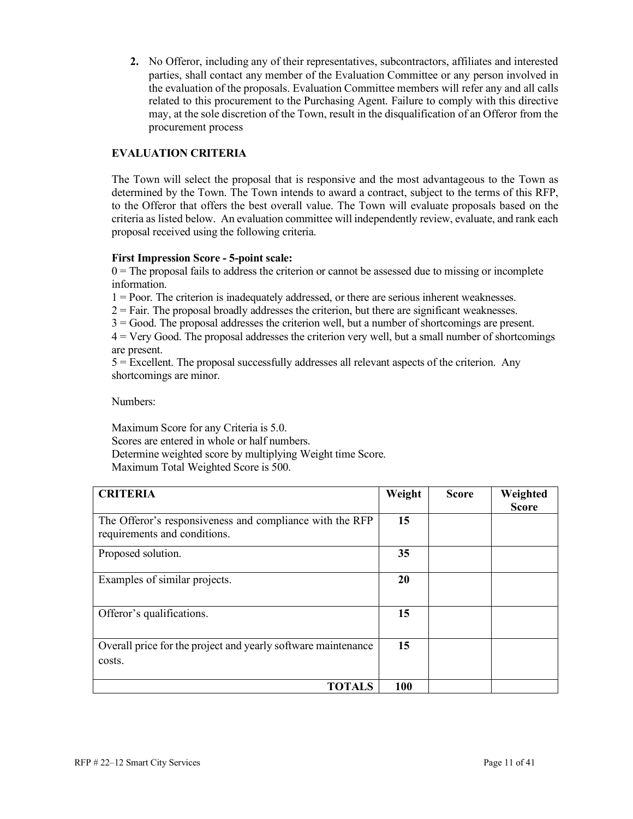**2.** No Offeror, including any of their representatives, subcontractors, affiliates and interested parties, shall contact any member of the Evaluation Committee or any person involved in the evaluation of the proposals. Evaluation Committee members will refer any and all calls related to this procurement to the Purchasing Agent. Failure to comply with this directive may, at the sole discretion of the Town, result in the disqualification of an Offeror from the procurement process

#### **EVALUATION CRITERIA**

The Town will select the proposal that is responsive and the most advantageous to the Town as determined by the Town. The Town intends to award a contract, subject to the terms of this RFP, to the Offeror that offers the best overall value. The Town will evaluate proposals based on the criteria as listed below. An evaluation committee will independently review, evaluate, and rank each proposal received using the following criteria.

#### **First Impression Score - 5-point scale:**

 $0 =$ The proposal fails to address the criterion or cannot be assessed due to missing or incomplete information.

1 = Poor. The criterion is inadequately addressed, or there are serious inherent weaknesses.

 $2 =$  Fair. The proposal broadly addresses the criterion, but there are significant weaknesses.

3 = Good. The proposal addresses the criterion well, but a number of shortcomings are present.

4 = Very Good. The proposal addresses the criterion very well, but a small number of shortcomings are present.

5 = Excellent. The proposal successfully addresses all relevant aspects of the criterion. Any shortcomings are minor.

Numbers:

Maximum Score for any Criteria is 5.0. Scores are entered in whole or half numbers. Determine weighted score by multiplying Weight time Score. Maximum Total Weighted Score is 500.

| <b>CRITERIA</b>                                                                          | Weight | <b>Score</b> | Weighted<br><b>Score</b> |
|------------------------------------------------------------------------------------------|--------|--------------|--------------------------|
| The Offeror's responsiveness and compliance with the RFP<br>requirements and conditions. | 15     |              |                          |
| Proposed solution.                                                                       | 35     |              |                          |
| Examples of similar projects.                                                            | 20     |              |                          |
| Offeror's qualifications.                                                                | 15     |              |                          |
| Overall price for the project and yearly software maintenance<br>costs.                  | 15     |              |                          |
| <b>TOTALS</b>                                                                            | 100    |              |                          |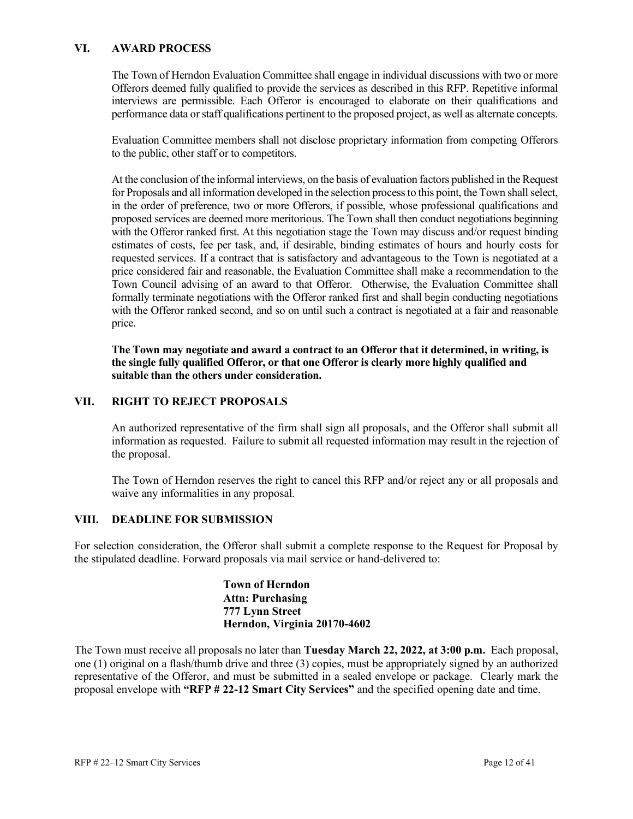#### **VI. AWARD PROCESS**

The Town of Herndon Evaluation Committee shall engage in individual discussions with two or more Offerors deemed fully qualified to provide the services as described in this RFP. Repetitive informal interviews are permissible. Each Offeror is encouraged to elaborate on their qualifications and performance data or staff qualifications pertinent to the proposed project, as well as alternate concepts.

Evaluation Committee members shall not disclose proprietary information from competing Offerors to the public, other staff or to competitors.

At the conclusion of the informal interviews, on the basis of evaluation factors published in the Request for Proposals and all information developed in the selection process to this point, the Town shall select, in the order of preference, two or more Offerors, if possible, whose professional qualifications and proposed services are deemed more meritorious. The Town shall then conduct negotiations beginning with the Offeror ranked first. At this negotiation stage the Town may discuss and/or request binding estimates of costs, fee per task, and, if desirable, binding estimates of hours and hourly costs for requested services. If a contract that is satisfactory and advantageous to the Town is negotiated at a price considered fair and reasonable, the Evaluation Committee shall make a recommendation to the Town Council advising of an award to that Offeror. Otherwise, the Evaluation Committee shall formally terminate negotiations with the Offeror ranked first and shall begin conducting negotiations with the Offeror ranked second, and so on until such a contract is negotiated at a fair and reasonable price.

**The Town may negotiate and award a contract to an Offeror that it determined, in writing, is the single fully qualified Offeror, or that one Offeror is clearly more highly qualified and suitable than the others under consideration.**

#### **VII. RIGHT TO REJECT PROPOSALS**

An authorized representative of the firm shall sign all proposals, and the Offeror shall submit all information as requested. Failure to submit all requested information may result in the rejection of the proposal.

The Town of Herndon reserves the right to cancel this RFP and/or reject any or all proposals and waive any informalities in any proposal.

#### **VIII. DEADLINE FOR SUBMISSION**

For selection consideration, the Offeror shall submit a complete response to the Request for Proposal by the stipulated deadline. Forward proposals via mail service or hand-delivered to:

> **Town of Herndon Attn: Purchasing 777 Lynn Street Herndon, Virginia 20170-4602**

The Town must receive all proposals no later than **Tuesday March 22, 2022, at 3:00 p.m.** Each proposal, one (1) original on a flash/thumb drive and three (3) copies, must be appropriately signed by an authorized representative of the Offeror, and must be submitted in a sealed envelope or package. Clearly mark the proposal envelope with **"RFP # 22-12 Smart City Services"** and the specified opening date and time.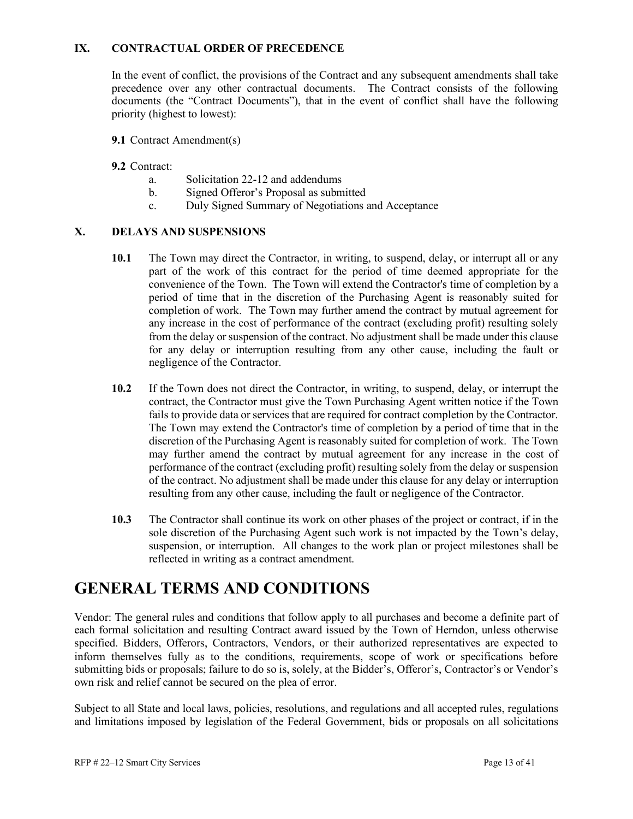#### **IX. CONTRACTUAL ORDER OF PRECEDENCE**

In the event of conflict, the provisions of the Contract and any subsequent amendments shall take precedence over any other contractual documents. The Contract consists of the following documents (the "Contract Documents"), that in the event of conflict shall have the following priority (highest to lowest):

**9.1** Contract Amendment(s)

#### **9.2** Contract:

- a. Solicitation 22-12 and addendums
- b. Signed Offeror's Proposal as submitted
- c. Duly Signed Summary of Negotiations and Acceptance

#### **X. DELAYS AND SUSPENSIONS**

- **10.1** The Town may direct the Contractor, in writing, to suspend, delay, or interrupt all or any part of the work of this contract for the period of time deemed appropriate for the convenience of the Town. The Town will extend the Contractor's time of completion by a period of time that in the discretion of the Purchasing Agent is reasonably suited for completion of work. The Town may further amend the contract by mutual agreement for any increase in the cost of performance of the contract (excluding profit) resulting solely from the delay or suspension of the contract. No adjustment shall be made under this clause for any delay or interruption resulting from any other cause, including the fault or negligence of the Contractor.
- **10.2** If the Town does not direct the Contractor, in writing, to suspend, delay, or interrupt the contract, the Contractor must give the Town Purchasing Agent written notice if the Town fails to provide data or services that are required for contract completion by the Contractor. The Town may extend the Contractor's time of completion by a period of time that in the discretion of the Purchasing Agent is reasonably suited for completion of work. The Town may further amend the contract by mutual agreement for any increase in the cost of performance of the contract (excluding profit) resulting solely from the delay or suspension of the contract. No adjustment shall be made under this clause for any delay or interruption resulting from any other cause, including the fault or negligence of the Contractor.
- **10.3** The Contractor shall continue its work on other phases of the project or contract, if in the sole discretion of the Purchasing Agent such work is not impacted by the Town's delay, suspension, or interruption. All changes to the work plan or project milestones shall be reflected in writing as a contract amendment.

## **GENERAL TERMS AND CONDITIONS**

Vendor: The general rules and conditions that follow apply to all purchases and become a definite part of each formal solicitation and resulting Contract award issued by the Town of Herndon, unless otherwise specified. Bidders, Offerors, Contractors, Vendors, or their authorized representatives are expected to inform themselves fully as to the conditions, requirements, scope of work or specifications before submitting bids or proposals; failure to do so is, solely, at the Bidder's, Offeror's, Contractor's or Vendor's own risk and relief cannot be secured on the plea of error.

Subject to all State and local laws, policies, resolutions, and regulations and all accepted rules, regulations and limitations imposed by legislation of the Federal Government, bids or proposals on all solicitations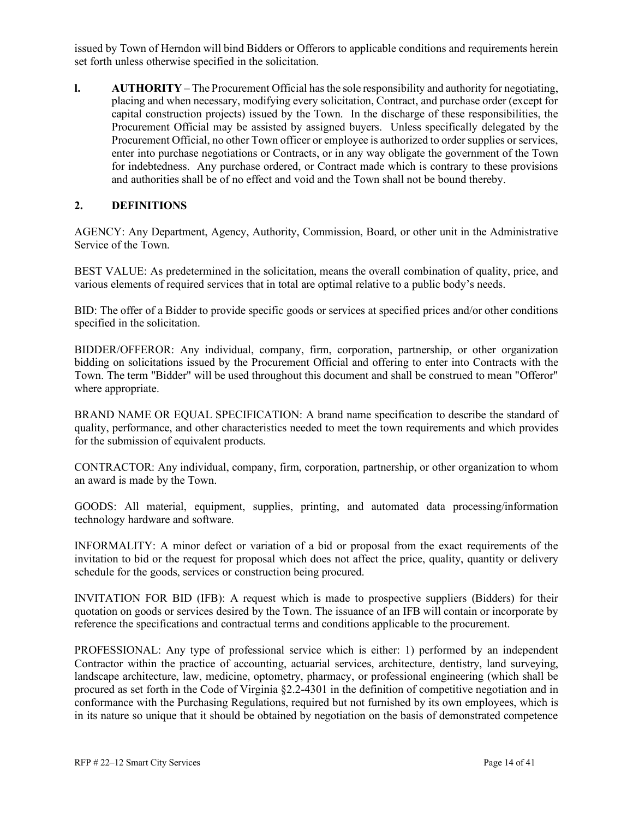issued by Town of Herndon will bind Bidders or Offerors to applicable conditions and requirements herein set forth unless otherwise specified in the solicitation.

**l. AUTHORITY** – The Procurement Official has the sole responsibility and authority for negotiating, placing and when necessary, modifying every solicitation, Contract, and purchase order (except for capital construction projects) issued by the Town. In the discharge of these responsibilities, the Procurement Official may be assisted by assigned buyers. Unless specifically delegated by the Procurement Official, no other Town officer or employee is authorized to order supplies or services, enter into purchase negotiations or Contracts, or in any way obligate the government of the Town for indebtedness. Any purchase ordered, or Contract made which is contrary to these provisions and authorities shall be of no effect and void and the Town shall not be bound thereby.

#### **2. DEFINITIONS**

AGENCY: Any Department, Agency, Authority, Commission, Board, or other unit in the Administrative Service of the Town.

BEST VALUE: As predetermined in the solicitation, means the overall combination of quality, price, and various elements of required services that in total are optimal relative to a public body's needs.

BID: The offer of a Bidder to provide specific goods or services at specified prices and/or other conditions specified in the solicitation.

BIDDER/OFFEROR: Any individual, company, firm, corporation, partnership, or other organization bidding on solicitations issued by the Procurement Official and offering to enter into Contracts with the Town. The term "Bidder" will be used throughout this document and shall be construed to mean "Offeror" where appropriate.

BRAND NAME OR EQUAL SPECIFICATION: A brand name specification to describe the standard of quality, performance, and other characteristics needed to meet the town requirements and which provides for the submission of equivalent products.

CONTRACTOR: Any individual, company, firm, corporation, partnership, or other organization to whom an award is made by the Town.

GOODS: All material, equipment, supplies, printing, and automated data processing/information technology hardware and software.

INFORMALITY: A minor defect or variation of a bid or proposal from the exact requirements of the invitation to bid or the request for proposal which does not affect the price, quality, quantity or delivery schedule for the goods, services or construction being procured.

INVITATION FOR BID (IFB): A request which is made to prospective suppliers (Bidders) for their quotation on goods or services desired by the Town. The issuance of an IFB will contain or incorporate by reference the specifications and contractual terms and conditions applicable to the procurement.

PROFESSIONAL: Any type of professional service which is either: 1) performed by an independent Contractor within the practice of accounting, actuarial services, architecture, dentistry, land surveying, landscape architecture, law, medicine, optometry, pharmacy, or professional engineering (which shall be procured as set forth in the Code of Virginia §2.2-4301 in the definition of competitive negotiation and in conformance with the Purchasing Regulations, required but not furnished by its own employees, which is in its nature so unique that it should be obtained by negotiation on the basis of demonstrated competence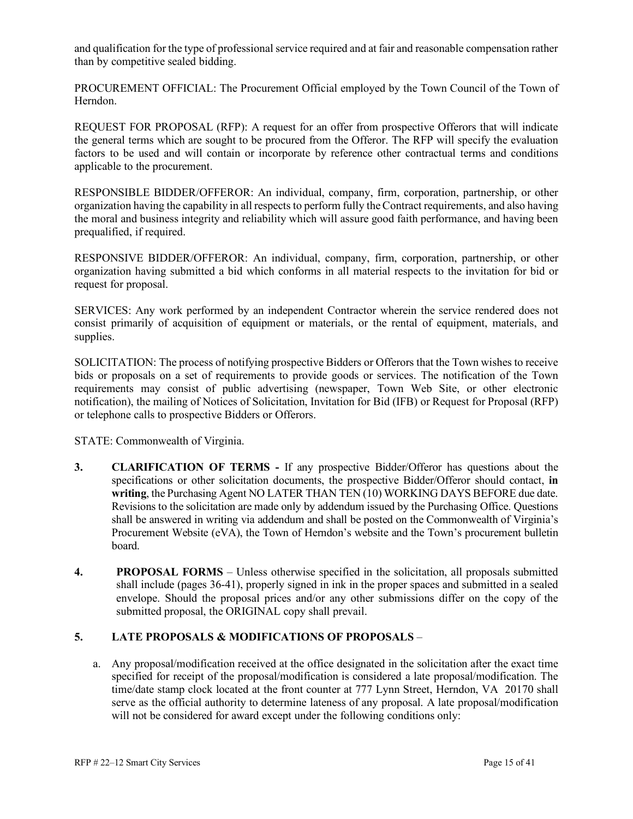and qualification for the type of professional service required and at fair and reasonable compensation rather than by competitive sealed bidding.

PROCUREMENT OFFICIAL: The Procurement Official employed by the Town Council of the Town of Herndon.

REQUEST FOR PROPOSAL (RFP): A request for an offer from prospective Offerors that will indicate the general terms which are sought to be procured from the Offeror. The RFP will specify the evaluation factors to be used and will contain or incorporate by reference other contractual terms and conditions applicable to the procurement.

RESPONSIBLE BIDDER/OFFEROR: An individual, company, firm, corporation, partnership, or other organization having the capability in all respects to perform fully the Contract requirements, and also having the moral and business integrity and reliability which will assure good faith performance, and having been prequalified, if required.

RESPONSIVE BIDDER/OFFEROR: An individual, company, firm, corporation, partnership, or other organization having submitted a bid which conforms in all material respects to the invitation for bid or request for proposal.

SERVICES: Any work performed by an independent Contractor wherein the service rendered does not consist primarily of acquisition of equipment or materials, or the rental of equipment, materials, and supplies.

SOLICITATION: The process of notifying prospective Bidders or Offerors that the Town wishes to receive bids or proposals on a set of requirements to provide goods or services. The notification of the Town requirements may consist of public advertising (newspaper, Town Web Site, or other electronic notification), the mailing of Notices of Solicitation, Invitation for Bid (IFB) or Request for Proposal (RFP) or telephone calls to prospective Bidders or Offerors.

STATE: Commonwealth of Virginia.

- **3. CLARIFICATION OF TERMS -** If any prospective Bidder/Offeror has questions about the specifications or other solicitation documents, the prospective Bidder/Offeror should contact, **in writing**, the Purchasing Agent NO LATER THAN TEN (10) WORKING DAYS BEFORE due date. Revisions to the solicitation are made only by addendum issued by the Purchasing Office. Questions shall be answered in writing via addendum and shall be posted on the Commonwealth of Virginia's Procurement Website (eVA), the Town of Herndon's website and the Town's procurement bulletin board.
- **4. PROPOSAL FORMS** Unless otherwise specified in the solicitation, all proposals submitted shall include (pages 36-41), properly signed in ink in the proper spaces and submitted in a sealed envelope. Should the proposal prices and/or any other submissions differ on the copy of the submitted proposal, the ORIGINAL copy shall prevail.

#### **5. LATE PROPOSALS & MODIFICATIONS OF PROPOSALS** –

a. Any proposal/modification received at the office designated in the solicitation after the exact time specified for receipt of the proposal/modification is considered a late proposal/modification. The time/date stamp clock located at the front counter at 777 Lynn Street, Herndon, VA 20170 shall serve as the official authority to determine lateness of any proposal. A late proposal/modification will not be considered for award except under the following conditions only: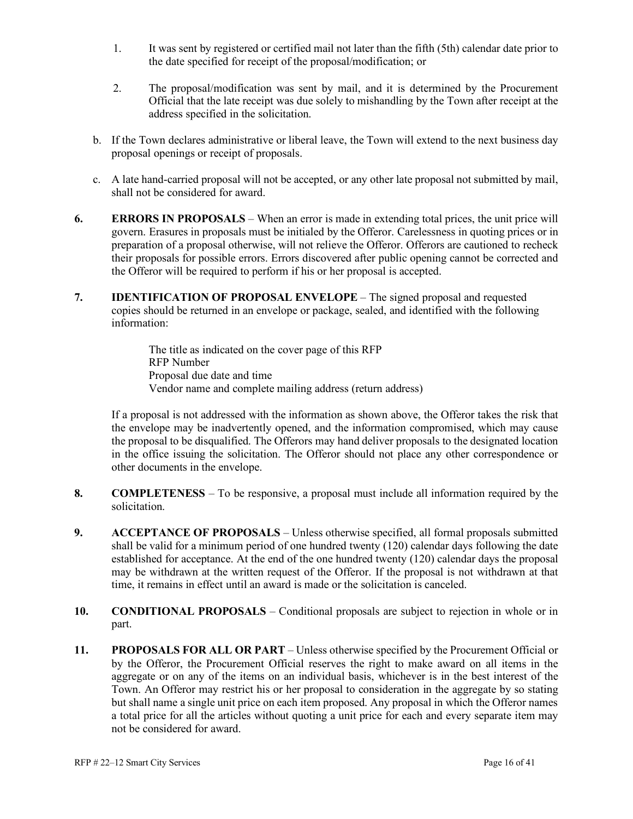- 1. It was sent by registered or certified mail not later than the fifth (5th) calendar date prior to the date specified for receipt of the proposal/modification; or
- 2. The proposal/modification was sent by mail, and it is determined by the Procurement Official that the late receipt was due solely to mishandling by the Town after receipt at the address specified in the solicitation.
- b. If the Town declares administrative or liberal leave, the Town will extend to the next business day proposal openings or receipt of proposals.
- c. A late hand-carried proposal will not be accepted, or any other late proposal not submitted by mail, shall not be considered for award.
- **6. ERRORS IN PROPOSALS** When an error is made in extending total prices, the unit price will govern. Erasures in proposals must be initialed by the Offeror. Carelessness in quoting prices or in preparation of a proposal otherwise, will not relieve the Offeror. Offerors are cautioned to recheck their proposals for possible errors. Errors discovered after public opening cannot be corrected and the Offeror will be required to perform if his or her proposal is accepted.
- **7. IDENTIFICATION OF PROPOSAL ENVELOPE** The signed proposal and requested copies should be returned in an envelope or package, sealed, and identified with the following information:

The title as indicated on the cover page of this RFP RFP Number Proposal due date and time Vendor name and complete mailing address (return address)

If a proposal is not addressed with the information as shown above, the Offeror takes the risk that the envelope may be inadvertently opened, and the information compromised, which may cause the proposal to be disqualified. The Offerors may hand deliver proposals to the designated location in the office issuing the solicitation. The Offeror should not place any other correspondence or other documents in the envelope.

- **8. COMPLETENESS** To be responsive, a proposal must include all information required by the solicitation.
- **9. ACCEPTANCE OF PROPOSALS** Unless otherwise specified, all formal proposals submitted shall be valid for a minimum period of one hundred twenty (120) calendar days following the date established for acceptance. At the end of the one hundred twenty (120) calendar days the proposal may be withdrawn at the written request of the Offeror. If the proposal is not withdrawn at that time, it remains in effect until an award is made or the solicitation is canceled.
- **10. CONDITIONAL PROPOSALS** Conditional proposals are subject to rejection in whole or in part.
- **11. PROPOSALS FOR ALL OR PART** Unless otherwise specified by the Procurement Official or by the Offeror, the Procurement Official reserves the right to make award on all items in the aggregate or on any of the items on an individual basis, whichever is in the best interest of the Town. An Offeror may restrict his or her proposal to consideration in the aggregate by so stating but shall name a single unit price on each item proposed. Any proposal in which the Offeror names a total price for all the articles without quoting a unit price for each and every separate item may not be considered for award.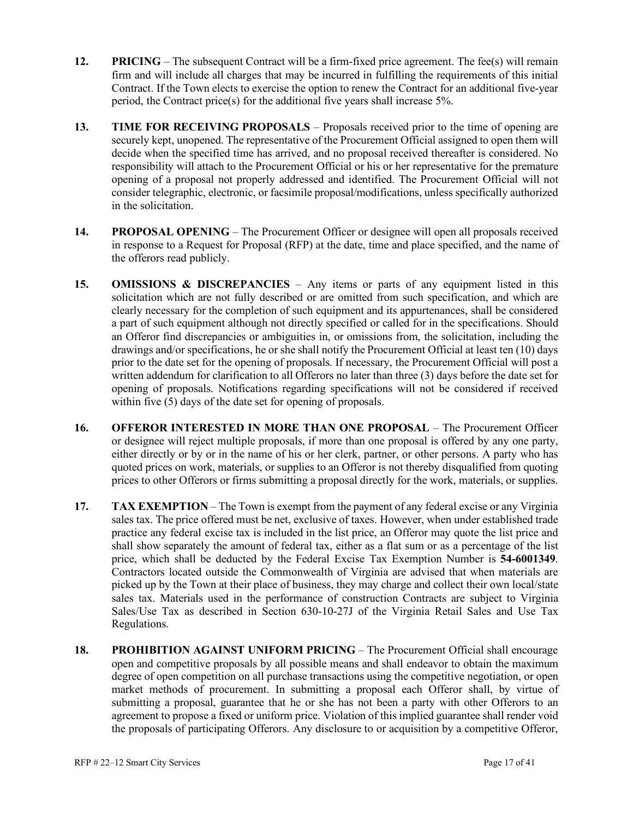- **12. PRICING** The subsequent Contract will be a firm-fixed price agreement. The fee(s) will remain firm and will include all charges that may be incurred in fulfilling the requirements of this initial Contract. If the Town elects to exercise the option to renew the Contract for an additional five-year period, the Contract price(s) for the additional five years shall increase 5%.
- **13. TIME FOR RECEIVING PROPOSALS** Proposals received prior to the time of opening are securely kept, unopened. The representative of the Procurement Official assigned to open them will decide when the specified time has arrived, and no proposal received thereafter is considered. No responsibility will attach to the Procurement Official or his or her representative for the premature opening of a proposal not properly addressed and identified. The Procurement Official will not consider telegraphic, electronic, or facsimile proposal/modifications, unless specifically authorized in the solicitation.
- **14. PROPOSAL OPENING** The Procurement Officer or designee will open all proposals received in response to a Request for Proposal (RFP) at the date, time and place specified, and the name of the offerors read publicly.
- **15. OMISSIONS & DISCREPANCIES** Any items or parts of any equipment listed in this solicitation which are not fully described or are omitted from such specification, and which are clearly necessary for the completion of such equipment and its appurtenances, shall be considered a part of such equipment although not directly specified or called for in the specifications. Should an Offeror find discrepancies or ambiguities in, or omissions from, the solicitation, including the drawings and/or specifications, he or she shall notify the Procurement Official at least ten (10) days prior to the date set for the opening of proposals. If necessary, the Procurement Official will post a written addendum for clarification to all Offerors no later than three (3) days before the date set for opening of proposals. Notifications regarding specifications will not be considered if received within five (5) days of the date set for opening of proposals.
- **16. OFFEROR INTERESTED IN MORE THAN ONE PROPOSAL** The Procurement Officer or designee will reject multiple proposals, if more than one proposal is offered by any one party, either directly or by or in the name of his or her clerk, partner, or other persons. A party who has quoted prices on work, materials, or supplies to an Offeror is not thereby disqualified from quoting prices to other Offerors or firms submitting a proposal directly for the work, materials, or supplies.
- **17. TAX EXEMPTION** The Town is exempt from the payment of any federal excise or any Virginia sales tax. The price offered must be net, exclusive of taxes. However, when under established trade practice any federal excise tax is included in the list price, an Offeror may quote the list price and shall show separately the amount of federal tax, either as a flat sum or as a percentage of the list price, which shall be deducted by the Federal Excise Tax Exemption Number is **54-6001349**. Contractors located outside the Commonwealth of Virginia are advised that when materials are picked up by the Town at their place of business, they may charge and collect their own local/state sales tax. Materials used in the performance of construction Contracts are subject to Virginia Sales/Use Tax as described in Section 630-10-27J of the Virginia Retail Sales and Use Tax Regulations.
- **18. PROHIBITION AGAINST UNIFORM PRICING** The Procurement Official shall encourage open and competitive proposals by all possible means and shall endeavor to obtain the maximum degree of open competition on all purchase transactions using the competitive negotiation, or open market methods of procurement. In submitting a proposal each Offeror shall, by virtue of submitting a proposal, guarantee that he or she has not been a party with other Offerors to an agreement to propose a fixed or uniform price. Violation of this implied guarantee shall render void the proposals of participating Offerors. Any disclosure to or acquisition by a competitive Offeror,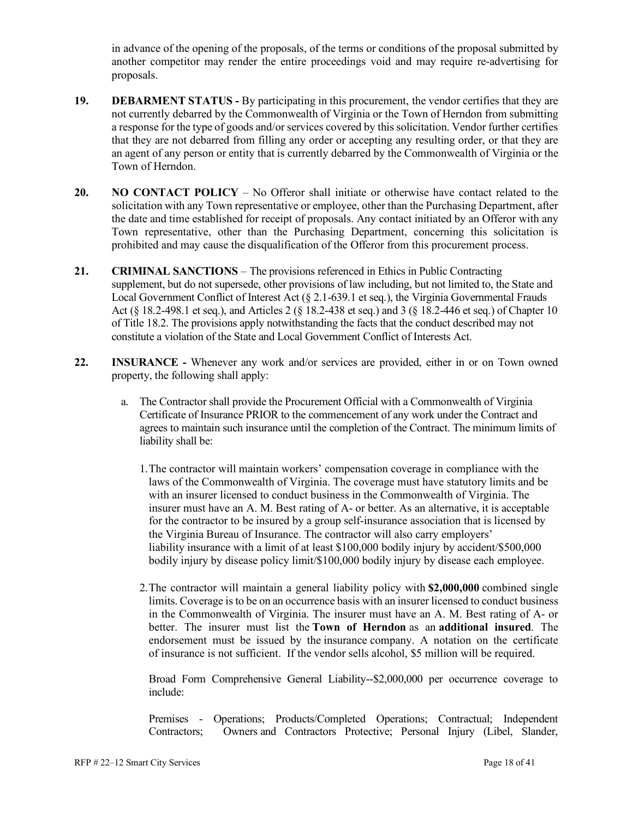in advance of the opening of the proposals, of the terms or conditions of the proposal submitted by another competitor may render the entire proceedings void and may require re-advertising for proposals.

- **19. DEBARMENT STATUS -** By participating in this procurement, the vendor certifies that they are not currently debarred by the Commonwealth of Virginia or the Town of Herndon from submitting a response for the type of goods and/or services covered by this solicitation. Vendor further certifies that they are not debarred from filling any order or accepting any resulting order, or that they are an agent of any person or entity that is currently debarred by the Commonwealth of Virginia or the Town of Herndon.
- **20. NO CONTACT POLICY** No Offeror shall initiate or otherwise have contact related to the solicitation with any Town representative or employee, other than the Purchasing Department, after the date and time established for receipt of proposals. Any contact initiated by an Offeror with any Town representative, other than the Purchasing Department, concerning this solicitation is prohibited and may cause the disqualification of the Offeror from this procurement process.
- **21. CRIMINAL SANCTIONS** The provisions referenced in Ethics in Public Contracting supplement, but do not supersede, other provisions of law including, but not limited to, the State and Local Government Conflict of Interest Act (§ 2.1-639.1 et seq.), the Virginia Governmental Frauds Act (§ 18.2-498.1 et seq.), and Articles 2 (§ 18.2-438 et seq.) and 3 (§ 18.2-446 et seq.) of Chapter 10 of Title 18.2. The provisions apply notwithstanding the facts that the conduct described may not constitute a violation of the State and Local Government Conflict of Interests Act.
- **22. INSURANCE -** Whenever any work and/or services are provided, either in or on Town owned property, the following shall apply:
	- a. The Contractor shall provide the Procurement Official with a Commonwealth of Virginia Certificate of Insurance PRIOR to the commencement of any work under the Contract and agrees to maintain such insurance until the completion of the Contract. The minimum limits of liability shall be:
		- 1.The contractor will maintain workers' compensation coverage in compliance with the laws of the Commonwealth of Virginia. The coverage must have statutory limits and be with an insurer licensed to conduct business in the Commonwealth of Virginia. The insurer must have an A. M. Best rating of A- or better. As an alternative, it is acceptable for the contractor to be insured by a group self-insurance association that is licensed by the Virginia Bureau of Insurance. The contractor will also carry employers' liability insurance with a limit of at least \$100,000 bodily injury by accident/\$500,000 bodily injury by disease policy limit/\$100,000 bodily injury by disease each employee.
		- 2.The contractor will maintain a general liability policy with **\$2,000,000** combined single limits. Coverage is to be on an occurrence basis with an insurer licensed to conduct business in the Commonwealth of Virginia. The insurer must have an A. M. Best rating of A- or better. The insurer must list the **Town of Herndon** as an **additional insured**. The endorsement must be issued by the insurance company. A notation on the certificate of insurance is not sufficient. If the vendor sells alcohol, \$5 million will be required.

Broad Form Comprehensive General Liability--\$2,000,000 per occurrence coverage to include:

Premises - Operations; Products/Completed Operations; Contractual; Independent Contractors; Owners and Contractors Protective; Personal Injury (Libel, Slander,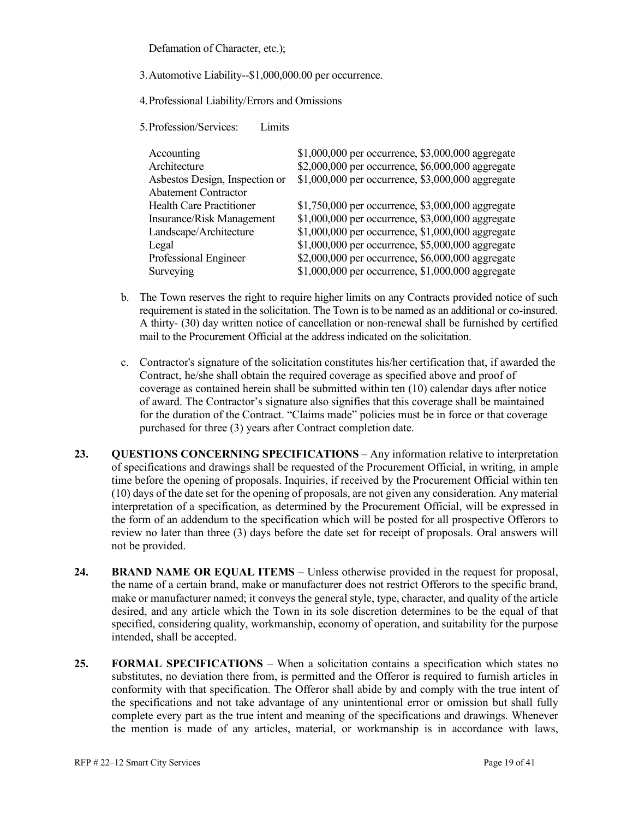Defamation of Character, etc.);

3.Automotive Liability--\$1,000,000.00 per occurrence.

4.Professional Liability/Errors and Omissions

5.Profession/Services: Limits

| Accounting                      | \$1,000,000 per occurrence, \$3,000,000 aggregate   |
|---------------------------------|-----------------------------------------------------|
| Architecture                    | \$2,000,000 per occurrence, \$6,000,000 aggregate   |
| Asbestos Design, Inspection or  | \$1,000,000 per occurrence, \$3,000,000 aggregate   |
| <b>Abatement Contractor</b>     |                                                     |
| <b>Health Care Practitioner</b> | \$1,750,000 per occurrence, \$3,000,000 aggregate   |
| Insurance/Risk Management       | \$1,000,000 per occurrence, \$3,000,000 aggregate   |
| Landscape/Architecture          | \$1,000,000 per occurrence, \$1,000,000 aggregate   |
| Legal                           | \$1,000,000 per occurrence, \$5,000,000 aggregate   |
| Professional Engineer           | \$2,000,000 per occurrence, \$6,000,000 aggregate   |
| Surveying                       | $$1,000,000$ per occurrence, $$1,000,000$ aggregate |

- b. The Town reserves the right to require higher limits on any Contracts provided notice of such requirement is stated in the solicitation. The Town is to be named as an additional or co-insured. A thirty- (30) day written notice of cancellation or non-renewal shall be furnished by certified mail to the Procurement Official at the address indicated on the solicitation.
- c. Contractor's signature of the solicitation constitutes his/her certification that, if awarded the Contract, he/she shall obtain the required coverage as specified above and proof of coverage as contained herein shall be submitted within ten (10) calendar days after notice of award. The Contractor's signature also signifies that this coverage shall be maintained for the duration of the Contract. "Claims made" policies must be in force or that coverage purchased for three (3) years after Contract completion date.
- **23. QUESTIONS CONCERNING SPECIFICATIONS** Any information relative to interpretation of specifications and drawings shall be requested of the Procurement Official, in writing, in ample time before the opening of proposals. Inquiries, if received by the Procurement Official within ten (10) days of the date set for the opening of proposals, are not given any consideration. Any material interpretation of a specification, as determined by the Procurement Official, will be expressed in the form of an addendum to the specification which will be posted for all prospective Offerors to review no later than three (3) days before the date set for receipt of proposals. Oral answers will not be provided.
- **24. BRAND NAME OR EQUAL ITEMS** Unless otherwise provided in the request for proposal, the name of a certain brand, make or manufacturer does not restrict Offerors to the specific brand, make or manufacturer named; it conveys the general style, type, character, and quality of the article desired, and any article which the Town in its sole discretion determines to be the equal of that specified, considering quality, workmanship, economy of operation, and suitability for the purpose intended, shall be accepted.
- **25. FORMAL SPECIFICATIONS** When a solicitation contains a specification which states no substitutes, no deviation there from, is permitted and the Offeror is required to furnish articles in conformity with that specification. The Offeror shall abide by and comply with the true intent of the specifications and not take advantage of any unintentional error or omission but shall fully complete every part as the true intent and meaning of the specifications and drawings. Whenever the mention is made of any articles, material, or workmanship is in accordance with laws,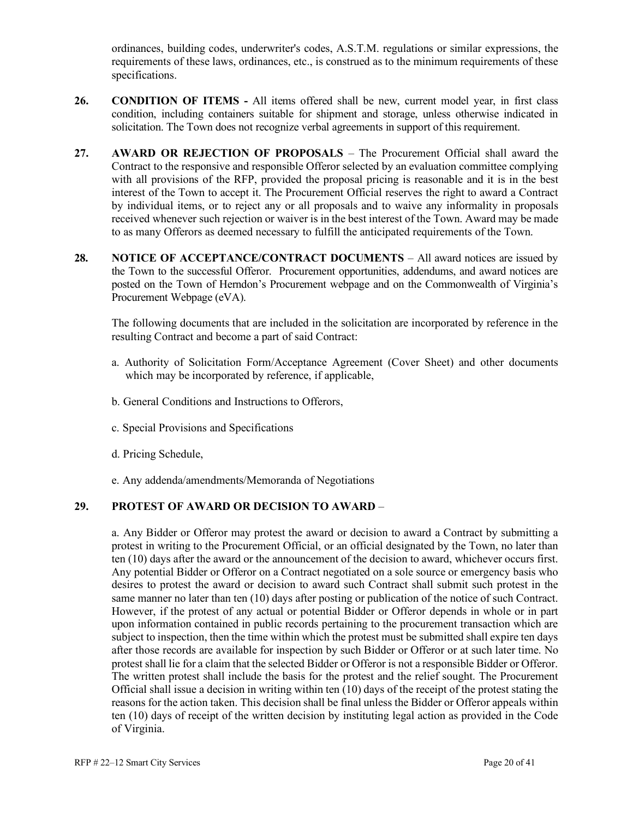ordinances, building codes, underwriter's codes, A.S.T.M. regulations or similar expressions, the requirements of these laws, ordinances, etc., is construed as to the minimum requirements of these specifications.

- **26. CONDITION OF ITEMS -** All items offered shall be new, current model year, in first class condition, including containers suitable for shipment and storage, unless otherwise indicated in solicitation. The Town does not recognize verbal agreements in support of this requirement.
- **27. AWARD OR REJECTION OF PROPOSALS** The Procurement Official shall award the Contract to the responsive and responsible Offeror selected by an evaluation committee complying with all provisions of the RFP, provided the proposal pricing is reasonable and it is in the best interest of the Town to accept it. The Procurement Official reserves the right to award a Contract by individual items, or to reject any or all proposals and to waive any informality in proposals received whenever such rejection or waiver is in the best interest of the Town. Award may be made to as many Offerors as deemed necessary to fulfill the anticipated requirements of the Town.
- **28. NOTICE OF ACCEPTANCE/CONTRACT DOCUMENTS** All award notices are issued by the Town to the successful Offeror. Procurement opportunities, addendums, and award notices are posted on the Town of Herndon's Procurement webpage and on the Commonwealth of Virginia's Procurement Webpage (eVA).

The following documents that are included in the solicitation are incorporated by reference in the resulting Contract and become a part of said Contract:

- a. Authority of Solicitation Form/Acceptance Agreement (Cover Sheet) and other documents which may be incorporated by reference, if applicable,
- b. General Conditions and Instructions to Offerors,
- c. Special Provisions and Specifications
- d. Pricing Schedule,
- e. Any addenda/amendments/Memoranda of Negotiations

#### **29. PROTEST OF AWARD OR DECISION TO AWARD** –

a. Any Bidder or Offeror may protest the award or decision to award a Contract by submitting a protest in writing to the Procurement Official, or an official designated by the Town, no later than ten (10) days after the award or the announcement of the decision to award, whichever occurs first. Any potential Bidder or Offeror on a Contract negotiated on a sole source or emergency basis who desires to protest the award or decision to award such Contract shall submit such protest in the same manner no later than ten (10) days after posting or publication of the notice of such Contract. However, if the protest of any actual or potential Bidder or Offeror depends in whole or in part upon information contained in public records pertaining to the procurement transaction which are subject to inspection, then the time within which the protest must be submitted shall expire ten days after those records are available for inspection by such Bidder or Offeror or at such later time. No protest shall lie for a claim that the selected Bidder or Offeror is not a responsible Bidder or Offeror. The written protest shall include the basis for the protest and the relief sought. The Procurement Official shall issue a decision in writing within ten (10) days of the receipt of the protest stating the reasons for the action taken. This decision shall be final unless the Bidder or Offeror appeals within ten (10) days of receipt of the written decision by instituting legal action as provided in the Code of Virginia.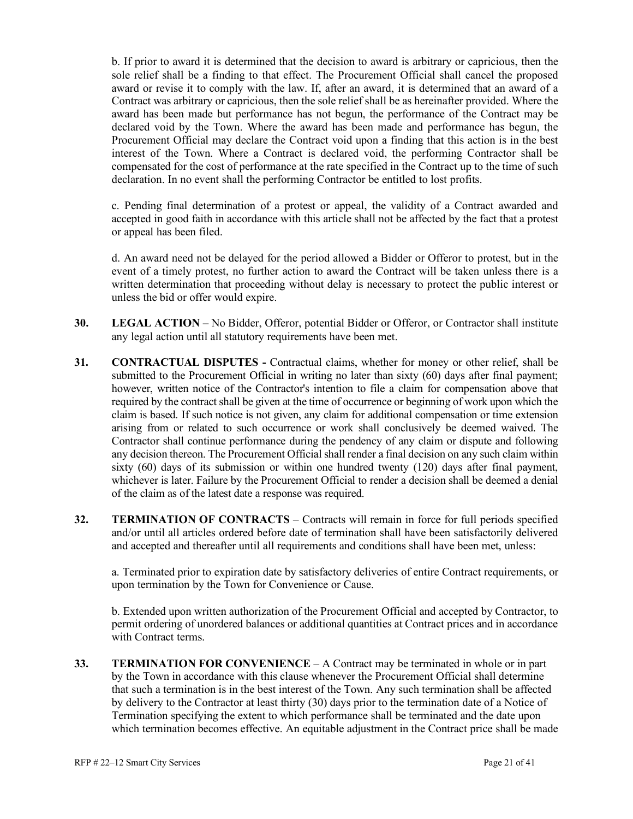b. If prior to award it is determined that the decision to award is arbitrary or capricious, then the sole relief shall be a finding to that effect. The Procurement Official shall cancel the proposed award or revise it to comply with the law. If, after an award, it is determined that an award of a Contract was arbitrary or capricious, then the sole relief shall be as hereinafter provided. Where the award has been made but performance has not begun, the performance of the Contract may be declared void by the Town. Where the award has been made and performance has begun, the Procurement Official may declare the Contract void upon a finding that this action is in the best interest of the Town. Where a Contract is declared void, the performing Contractor shall be compensated for the cost of performance at the rate specified in the Contract up to the time of such declaration. In no event shall the performing Contractor be entitled to lost profits.

c. Pending final determination of a protest or appeal, the validity of a Contract awarded and accepted in good faith in accordance with this article shall not be affected by the fact that a protest or appeal has been filed.

d. An award need not be delayed for the period allowed a Bidder or Offeror to protest, but in the event of a timely protest, no further action to award the Contract will be taken unless there is a written determination that proceeding without delay is necessary to protect the public interest or unless the bid or offer would expire.

- **30. LEGAL ACTION** No Bidder, Offeror, potential Bidder or Offeror, or Contractor shall institute any legal action until all statutory requirements have been met.
- **31. CONTRACTUAL DISPUTES -** Contractual claims, whether for money or other relief, shall be submitted to the Procurement Official in writing no later than sixty (60) days after final payment; however, written notice of the Contractor's intention to file a claim for compensation above that required by the contract shall be given at the time of occurrence or beginning of work upon which the claim is based. If such notice is not given, any claim for additional compensation or time extension arising from or related to such occurrence or work shall conclusively be deemed waived. The Contractor shall continue performance during the pendency of any claim or dispute and following any decision thereon. The Procurement Official shall render a final decision on any such claim within sixty (60) days of its submission or within one hundred twenty (120) days after final payment, whichever is later. Failure by the Procurement Official to render a decision shall be deemed a denial of the claim as of the latest date a response was required.
- **32. TERMINATION OF CONTRACTS** Contracts will remain in force for full periods specified and/or until all articles ordered before date of termination shall have been satisfactorily delivered and accepted and thereafter until all requirements and conditions shall have been met, unless:

a. Terminated prior to expiration date by satisfactory deliveries of entire Contract requirements, or upon termination by the Town for Convenience or Cause.

b. Extended upon written authorization of the Procurement Official and accepted by Contractor, to permit ordering of unordered balances or additional quantities at Contract prices and in accordance with Contract terms.

**33. TERMINATION FOR CONVENIENCE** – A Contract may be terminated in whole or in part by the Town in accordance with this clause whenever the Procurement Official shall determine that such a termination is in the best interest of the Town. Any such termination shall be affected by delivery to the Contractor at least thirty (30) days prior to the termination date of a Notice of Termination specifying the extent to which performance shall be terminated and the date upon which termination becomes effective. An equitable adjustment in the Contract price shall be made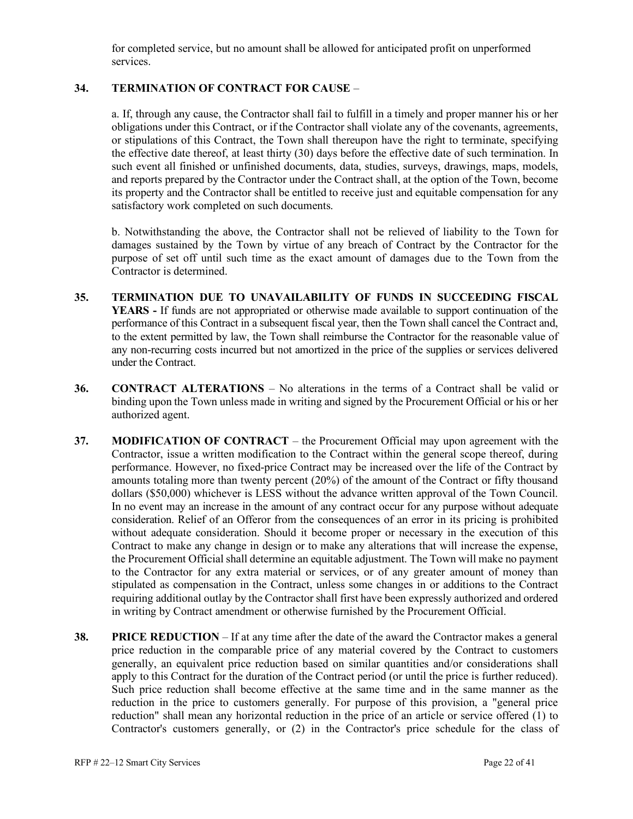for completed service, but no amount shall be allowed for anticipated profit on unperformed services.

#### **34. TERMINATION OF CONTRACT FOR CAUSE** –

a. If, through any cause, the Contractor shall fail to fulfill in a timely and proper manner his or her obligations under this Contract, or if the Contractor shall violate any of the covenants, agreements, or stipulations of this Contract, the Town shall thereupon have the right to terminate, specifying the effective date thereof, at least thirty (30) days before the effective date of such termination. In such event all finished or unfinished documents, data, studies, surveys, drawings, maps, models, and reports prepared by the Contractor under the Contract shall, at the option of the Town, become its property and the Contractor shall be entitled to receive just and equitable compensation for any satisfactory work completed on such documents.

b. Notwithstanding the above, the Contractor shall not be relieved of liability to the Town for damages sustained by the Town by virtue of any breach of Contract by the Contractor for the purpose of set off until such time as the exact amount of damages due to the Town from the Contractor is determined.

- **35. TERMINATION DUE TO UNAVAILABILITY OF FUNDS IN SUCCEEDING FISCAL YEARS -** If funds are not appropriated or otherwise made available to support continuation of the performance of this Contract in a subsequent fiscal year, then the Town shall cancel the Contract and, to the extent permitted by law, the Town shall reimburse the Contractor for the reasonable value of any non-recurring costs incurred but not amortized in the price of the supplies or services delivered under the Contract.
- **36. CONTRACT ALTERATIONS** No alterations in the terms of a Contract shall be valid or binding upon the Town unless made in writing and signed by the Procurement Official or his or her authorized agent.
- **37. MODIFICATION OF CONTRACT** the Procurement Official may upon agreement with the Contractor, issue a written modification to the Contract within the general scope thereof, during performance. However, no fixed-price Contract may be increased over the life of the Contract by amounts totaling more than twenty percent (20%) of the amount of the Contract or fifty thousand dollars (\$50,000) whichever is LESS without the advance written approval of the Town Council. In no event may an increase in the amount of any contract occur for any purpose without adequate consideration. Relief of an Offeror from the consequences of an error in its pricing is prohibited without adequate consideration. Should it become proper or necessary in the execution of this Contract to make any change in design or to make any alterations that will increase the expense, the Procurement Official shall determine an equitable adjustment. The Town will make no payment to the Contractor for any extra material or services, or of any greater amount of money than stipulated as compensation in the Contract, unless some changes in or additions to the Contract requiring additional outlay by the Contractor shall first have been expressly authorized and ordered in writing by Contract amendment or otherwise furnished by the Procurement Official.
- **38. PRICE REDUCTION** If at any time after the date of the award the Contractor makes a general price reduction in the comparable price of any material covered by the Contract to customers generally, an equivalent price reduction based on similar quantities and/or considerations shall apply to this Contract for the duration of the Contract period (or until the price is further reduced). Such price reduction shall become effective at the same time and in the same manner as the reduction in the price to customers generally. For purpose of this provision, a "general price reduction" shall mean any horizontal reduction in the price of an article or service offered (1) to Contractor's customers generally, or (2) in the Contractor's price schedule for the class of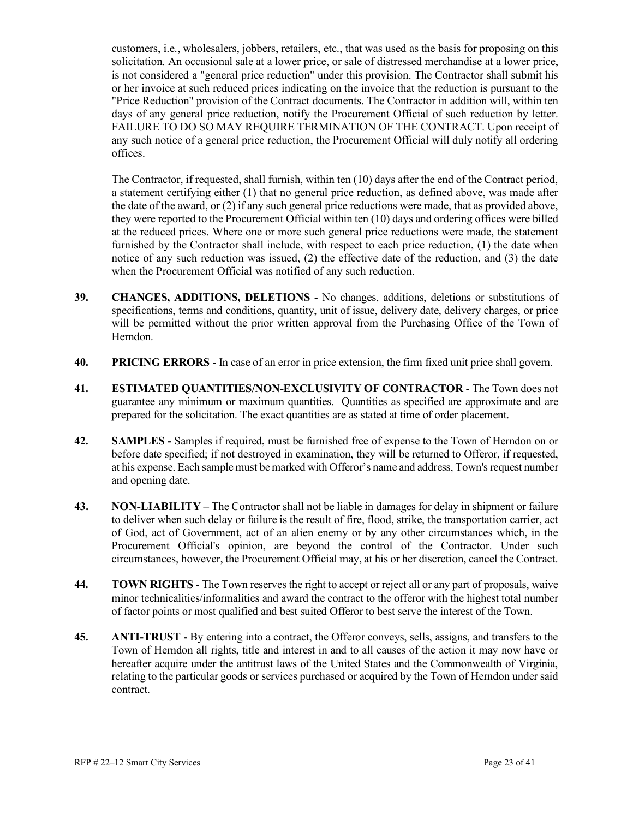customers, i.e., wholesalers, jobbers, retailers, etc., that was used as the basis for proposing on this solicitation. An occasional sale at a lower price, or sale of distressed merchandise at a lower price, is not considered a "general price reduction" under this provision. The Contractor shall submit his or her invoice at such reduced prices indicating on the invoice that the reduction is pursuant to the "Price Reduction" provision of the Contract documents. The Contractor in addition will, within ten days of any general price reduction, notify the Procurement Official of such reduction by letter. FAILURE TO DO SO MAY REQUIRE TERMINATION OF THE CONTRACT. Upon receipt of any such notice of a general price reduction, the Procurement Official will duly notify all ordering offices.

The Contractor, if requested, shall furnish, within ten (10) days after the end of the Contract period, a statement certifying either (1) that no general price reduction, as defined above, was made after the date of the award, or (2) if any such general price reductions were made, that as provided above, they were reported to the Procurement Official within ten (10) days and ordering offices were billed at the reduced prices. Where one or more such general price reductions were made, the statement furnished by the Contractor shall include, with respect to each price reduction, (1) the date when notice of any such reduction was issued, (2) the effective date of the reduction, and (3) the date when the Procurement Official was notified of any such reduction.

- **39. CHANGES, ADDITIONS, DELETIONS** No changes, additions, deletions or substitutions of specifications, terms and conditions, quantity, unit of issue, delivery date, delivery charges, or price will be permitted without the prior written approval from the Purchasing Office of the Town of Herndon.
- **40. PRICING ERRORS** In case of an error in price extension, the firm fixed unit price shall govern.
- **41. ESTIMATED QUANTITIES/NON-EXCLUSIVITY OF CONTRACTOR** The Town does not guarantee any minimum or maximum quantities. Quantities as specified are approximate and are prepared for the solicitation. The exact quantities are as stated at time of order placement.
- **42. SAMPLES -** Samples if required, must be furnished free of expense to the Town of Herndon on or before date specified; if not destroyed in examination, they will be returned to Offeror, if requested, at his expense. Each sample must be marked with Offeror's name and address, Town's request number and opening date.
- **43. NON-LIABILITY** The Contractor shall not be liable in damages for delay in shipment or failure to deliver when such delay or failure is the result of fire, flood, strike, the transportation carrier, act of God, act of Government, act of an alien enemy or by any other circumstances which, in the Procurement Official's opinion, are beyond the control of the Contractor. Under such circumstances, however, the Procurement Official may, at his or her discretion, cancel the Contract.
- **44. TOWN RIGHTS -** The Town reserves the right to accept or reject all or any part of proposals, waive minor technicalities/informalities and award the contract to the offeror with the highest total number of factor points or most qualified and best suited Offeror to best serve the interest of the Town.
- **45. ANTI-TRUST -** By entering into a contract, the Offeror conveys, sells, assigns, and transfers to the Town of Herndon all rights, title and interest in and to all causes of the action it may now have or hereafter acquire under the antitrust laws of the United States and the Commonwealth of Virginia, relating to the particular goods or services purchased or acquired by the Town of Herndon under said contract.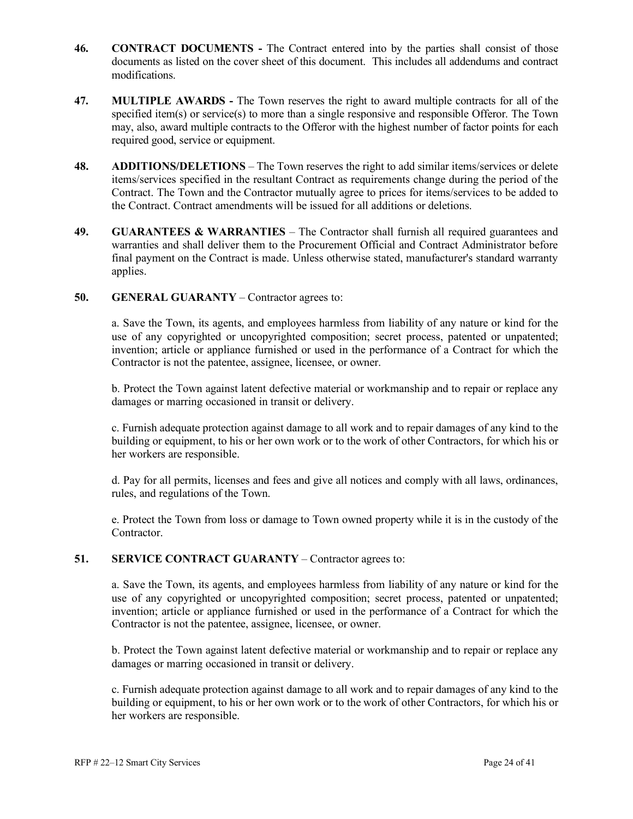- **46. CONTRACT DOCUMENTS -** The Contract entered into by the parties shall consist of those documents as listed on the cover sheet of this document. This includes all addendums and contract modifications.
- **47. MULTIPLE AWARDS -** The Town reserves the right to award multiple contracts for all of the specified item(s) or service(s) to more than a single responsive and responsible Offeror. The Town may, also, award multiple contracts to the Offeror with the highest number of factor points for each required good, service or equipment.
- **48. ADDITIONS/DELETIONS** The Town reserves the right to add similar items/services or delete items/services specified in the resultant Contract as requirements change during the period of the Contract. The Town and the Contractor mutually agree to prices for items/services to be added to the Contract. Contract amendments will be issued for all additions or deletions.
- **49. GUARANTEES & WARRANTIES** The Contractor shall furnish all required guarantees and warranties and shall deliver them to the Procurement Official and Contract Administrator before final payment on the Contract is made. Unless otherwise stated, manufacturer's standard warranty applies.

#### **50. GENERAL GUARANTY** – Contractor agrees to:

a. Save the Town, its agents, and employees harmless from liability of any nature or kind for the use of any copyrighted or uncopyrighted composition; secret process, patented or unpatented; invention; article or appliance furnished or used in the performance of a Contract for which the Contractor is not the patentee, assignee, licensee, or owner.

b. Protect the Town against latent defective material or workmanship and to repair or replace any damages or marring occasioned in transit or delivery.

c. Furnish adequate protection against damage to all work and to repair damages of any kind to the building or equipment, to his or her own work or to the work of other Contractors, for which his or her workers are responsible.

d. Pay for all permits, licenses and fees and give all notices and comply with all laws, ordinances, rules, and regulations of the Town.

e. Protect the Town from loss or damage to Town owned property while it is in the custody of the Contractor.

#### **51. SERVICE CONTRACT GUARANTY** – Contractor agrees to:

a. Save the Town, its agents, and employees harmless from liability of any nature or kind for the use of any copyrighted or uncopyrighted composition; secret process, patented or unpatented; invention; article or appliance furnished or used in the performance of a Contract for which the Contractor is not the patentee, assignee, licensee, or owner.

b. Protect the Town against latent defective material or workmanship and to repair or replace any damages or marring occasioned in transit or delivery.

c. Furnish adequate protection against damage to all work and to repair damages of any kind to the building or equipment, to his or her own work or to the work of other Contractors, for which his or her workers are responsible.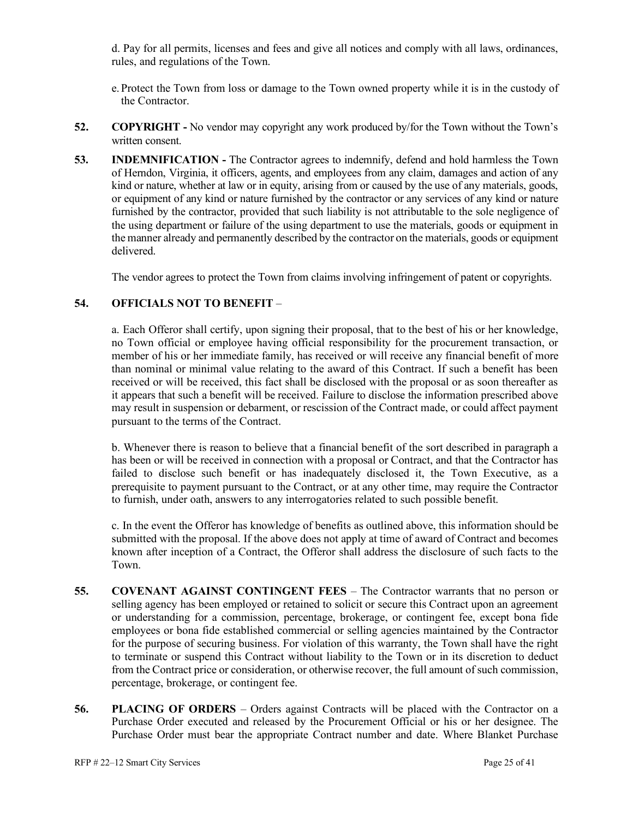d. Pay for all permits, licenses and fees and give all notices and comply with all laws, ordinances, rules, and regulations of the Town.

- e. Protect the Town from loss or damage to the Town owned property while it is in the custody of the Contractor.
- **52. COPYRIGHT -** No vendor may copyright any work produced by/for the Town without the Town's written consent.
- **53. INDEMNIFICATION -** The Contractor agrees to indemnify, defend and hold harmless the Town of Herndon, Virginia, it officers, agents, and employees from any claim, damages and action of any kind or nature, whether at law or in equity, arising from or caused by the use of any materials, goods, or equipment of any kind or nature furnished by the contractor or any services of any kind or nature furnished by the contractor, provided that such liability is not attributable to the sole negligence of the using department or failure of the using department to use the materials, goods or equipment in the manner already and permanently described by the contractor on the materials, goods or equipment delivered.

The vendor agrees to protect the Town from claims involving infringement of patent or copyrights.

#### **54. OFFICIALS NOT TO BENEFIT** –

a. Each Offeror shall certify, upon signing their proposal, that to the best of his or her knowledge, no Town official or employee having official responsibility for the procurement transaction, or member of his or her immediate family, has received or will receive any financial benefit of more than nominal or minimal value relating to the award of this Contract. If such a benefit has been received or will be received, this fact shall be disclosed with the proposal or as soon thereafter as it appears that such a benefit will be received. Failure to disclose the information prescribed above may result in suspension or debarment, or rescission of the Contract made, or could affect payment pursuant to the terms of the Contract.

b. Whenever there is reason to believe that a financial benefit of the sort described in paragraph a has been or will be received in connection with a proposal or Contract, and that the Contractor has failed to disclose such benefit or has inadequately disclosed it, the Town Executive, as a prerequisite to payment pursuant to the Contract, or at any other time, may require the Contractor to furnish, under oath, answers to any interrogatories related to such possible benefit.

c. In the event the Offeror has knowledge of benefits as outlined above, this information should be submitted with the proposal. If the above does not apply at time of award of Contract and becomes known after inception of a Contract, the Offeror shall address the disclosure of such facts to the Town.

- **55. COVENANT AGAINST CONTINGENT FEES** The Contractor warrants that no person or selling agency has been employed or retained to solicit or secure this Contract upon an agreement or understanding for a commission, percentage, brokerage, or contingent fee, except bona fide employees or bona fide established commercial or selling agencies maintained by the Contractor for the purpose of securing business. For violation of this warranty, the Town shall have the right to terminate or suspend this Contract without liability to the Town or in its discretion to deduct from the Contract price or consideration, or otherwise recover, the full amount of such commission, percentage, brokerage, or contingent fee.
- **56. PLACING OF ORDERS** Orders against Contracts will be placed with the Contractor on a Purchase Order executed and released by the Procurement Official or his or her designee. The Purchase Order must bear the appropriate Contract number and date. Where Blanket Purchase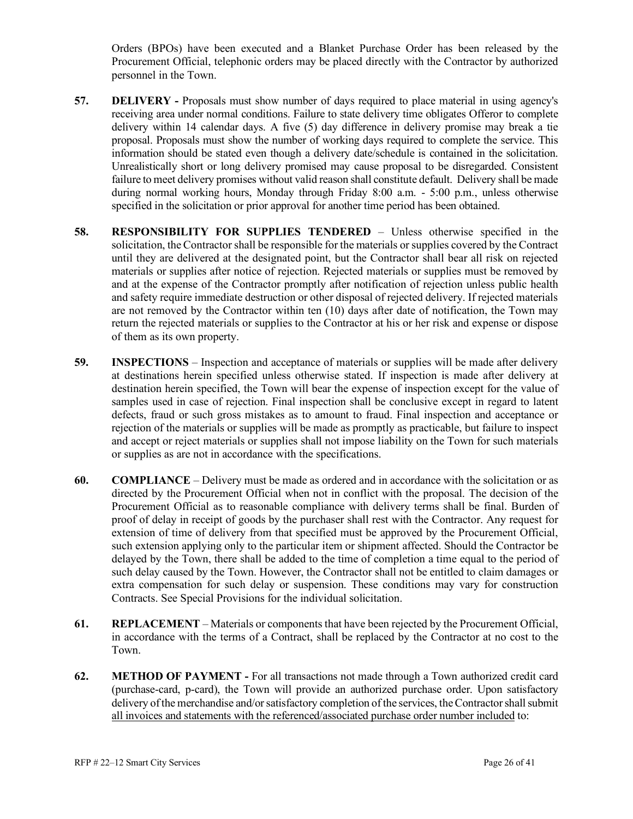Orders (BPOs) have been executed and a Blanket Purchase Order has been released by the Procurement Official, telephonic orders may be placed directly with the Contractor by authorized personnel in the Town.

- **57. DELIVERY -** Proposals must show number of days required to place material in using agency's receiving area under normal conditions. Failure to state delivery time obligates Offeror to complete delivery within 14 calendar days. A five (5) day difference in delivery promise may break a tie proposal. Proposals must show the number of working days required to complete the service. This information should be stated even though a delivery date/schedule is contained in the solicitation. Unrealistically short or long delivery promised may cause proposal to be disregarded. Consistent failure to meet delivery promises without valid reason shall constitute default. Delivery shall be made during normal working hours, Monday through Friday 8:00 a.m. - 5:00 p.m., unless otherwise specified in the solicitation or prior approval for another time period has been obtained.
- **58. RESPONSIBILITY FOR SUPPLIES TENDERED** Unless otherwise specified in the solicitation, the Contractor shall be responsible for the materials or supplies covered by the Contract until they are delivered at the designated point, but the Contractor shall bear all risk on rejected materials or supplies after notice of rejection. Rejected materials or supplies must be removed by and at the expense of the Contractor promptly after notification of rejection unless public health and safety require immediate destruction or other disposal of rejected delivery. If rejected materials are not removed by the Contractor within ten (10) days after date of notification, the Town may return the rejected materials or supplies to the Contractor at his or her risk and expense or dispose of them as its own property.
- **59. INSPECTIONS** Inspection and acceptance of materials or supplies will be made after delivery at destinations herein specified unless otherwise stated. If inspection is made after delivery at destination herein specified, the Town will bear the expense of inspection except for the value of samples used in case of rejection. Final inspection shall be conclusive except in regard to latent defects, fraud or such gross mistakes as to amount to fraud. Final inspection and acceptance or rejection of the materials or supplies will be made as promptly as practicable, but failure to inspect and accept or reject materials or supplies shall not impose liability on the Town for such materials or supplies as are not in accordance with the specifications.
- **60. COMPLIANCE** Delivery must be made as ordered and in accordance with the solicitation or as directed by the Procurement Official when not in conflict with the proposal. The decision of the Procurement Official as to reasonable compliance with delivery terms shall be final. Burden of proof of delay in receipt of goods by the purchaser shall rest with the Contractor. Any request for extension of time of delivery from that specified must be approved by the Procurement Official, such extension applying only to the particular item or shipment affected. Should the Contractor be delayed by the Town, there shall be added to the time of completion a time equal to the period of such delay caused by the Town. However, the Contractor shall not be entitled to claim damages or extra compensation for such delay or suspension. These conditions may vary for construction Contracts. See Special Provisions for the individual solicitation.
- **61. REPLACEMENT** Materials or components that have been rejected by the Procurement Official, in accordance with the terms of a Contract, shall be replaced by the Contractor at no cost to the Town.
- **62. METHOD OF PAYMENT -** For all transactions not made through a Town authorized credit card (purchase-card, p-card), the Town will provide an authorized purchase order. Upon satisfactory delivery of the merchandise and/or satisfactory completion of the services, the Contractor shall submit all invoices and statements with the referenced/associated purchase order number included to: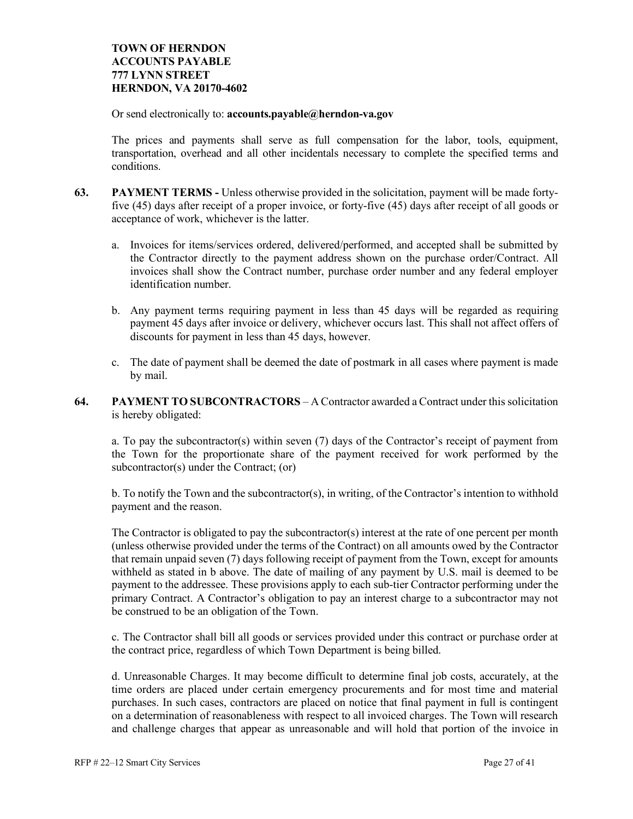#### **TOWN OF HERNDON ACCOUNTS PAYABLE 777 LYNN STREET HERNDON, VA 20170-4602**

Or send electronically to: **accounts.payable@herndon-va.gov**

The prices and payments shall serve as full compensation for the labor, tools, equipment, transportation, overhead and all other incidentals necessary to complete the specified terms and conditions.

- **63. PAYMENT TERMS -** Unless otherwise provided in the solicitation, payment will be made fortyfive (45) days after receipt of a proper invoice, or forty-five (45) days after receipt of all goods or acceptance of work, whichever is the latter.
	- a. Invoices for items/services ordered, delivered/performed, and accepted shall be submitted by the Contractor directly to the payment address shown on the purchase order/Contract. All invoices shall show the Contract number, purchase order number and any federal employer identification number.
	- b. Any payment terms requiring payment in less than 45 days will be regarded as requiring payment 45 days after invoice or delivery, whichever occurs last. This shall not affect offers of discounts for payment in less than 45 days, however.
	- c. The date of payment shall be deemed the date of postmark in all cases where payment is made by mail.
- **64. PAYMENT TO SUBCONTRACTORS** A Contractor awarded a Contract under this solicitation is hereby obligated:

a. To pay the subcontractor(s) within seven (7) days of the Contractor's receipt of payment from the Town for the proportionate share of the payment received for work performed by the subcontractor(s) under the Contract; (or)

b. To notify the Town and the subcontractor(s), in writing, of the Contractor's intention to withhold payment and the reason.

The Contractor is obligated to pay the subcontractor(s) interest at the rate of one percent per month (unless otherwise provided under the terms of the Contract) on all amounts owed by the Contractor that remain unpaid seven (7) days following receipt of payment from the Town, except for amounts withheld as stated in b above. The date of mailing of any payment by U.S. mail is deemed to be payment to the addressee. These provisions apply to each sub-tier Contractor performing under the primary Contract. A Contractor's obligation to pay an interest charge to a subcontractor may not be construed to be an obligation of the Town.

c. The Contractor shall bill all goods or services provided under this contract or purchase order at the contract price, regardless of which Town Department is being billed.

d. Unreasonable Charges. It may become difficult to determine final job costs, accurately, at the time orders are placed under certain emergency procurements and for most time and material purchases. In such cases, contractors are placed on notice that final payment in full is contingent on a determination of reasonableness with respect to all invoiced charges. The Town will research and challenge charges that appear as unreasonable and will hold that portion of the invoice in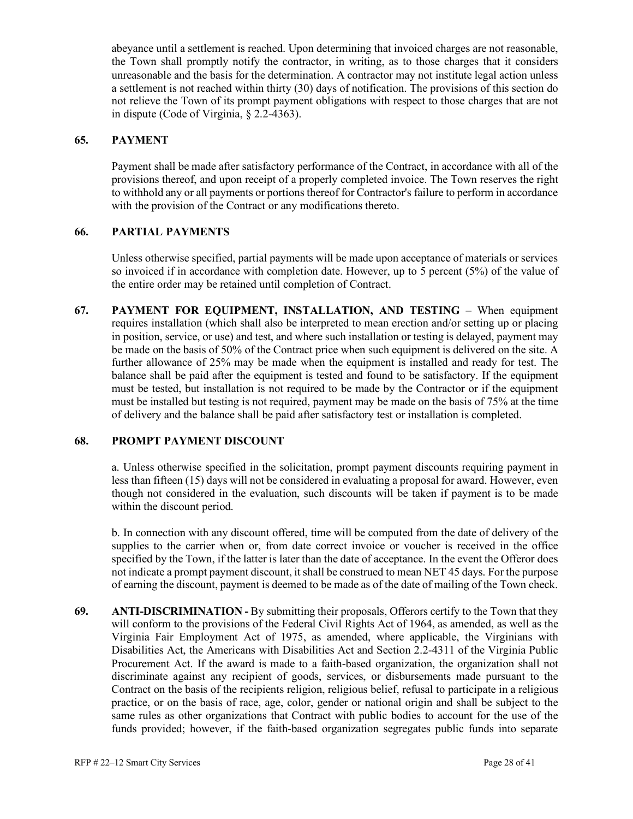abeyance until a settlement is reached. Upon determining that invoiced charges are not reasonable, the Town shall promptly notify the contractor, in writing, as to those charges that it considers unreasonable and the basis for the determination. A contractor may not institute legal action unless a settlement is not reached within thirty (30) days of notification. The provisions of this section do not relieve the Town of its prompt payment obligations with respect to those charges that are not in dispute (Code of Virginia, § 2.2-4363).

#### **65. PAYMENT**

Payment shall be made after satisfactory performance of the Contract, in accordance with all of the provisions thereof, and upon receipt of a properly completed invoice. The Town reserves the right to withhold any or all payments or portions thereof for Contractor's failure to perform in accordance with the provision of the Contract or any modifications thereto.

#### **66. PARTIAL PAYMENTS**

Unless otherwise specified, partial payments will be made upon acceptance of materials or services so invoiced if in accordance with completion date. However, up to 5 percent (5%) of the value of the entire order may be retained until completion of Contract.

**67. PAYMENT FOR EQUIPMENT, INSTALLATION, AND TESTING** – When equipment requires installation (which shall also be interpreted to mean erection and/or setting up or placing in position, service, or use) and test, and where such installation or testing is delayed, payment may be made on the basis of 50% of the Contract price when such equipment is delivered on the site. A further allowance of 25% may be made when the equipment is installed and ready for test. The balance shall be paid after the equipment is tested and found to be satisfactory. If the equipment must be tested, but installation is not required to be made by the Contractor or if the equipment must be installed but testing is not required, payment may be made on the basis of 75% at the time of delivery and the balance shall be paid after satisfactory test or installation is completed.

#### **68. PROMPT PAYMENT DISCOUNT**

a. Unless otherwise specified in the solicitation, prompt payment discounts requiring payment in less than fifteen (15) days will not be considered in evaluating a proposal for award. However, even though not considered in the evaluation, such discounts will be taken if payment is to be made within the discount period.

b. In connection with any discount offered, time will be computed from the date of delivery of the supplies to the carrier when or, from date correct invoice or voucher is received in the office specified by the Town, if the latter is later than the date of acceptance. In the event the Offeror does not indicate a prompt payment discount, it shall be construed to mean NET 45 days. For the purpose of earning the discount, payment is deemed to be made as of the date of mailing of the Town check.

**69. ANTI-DISCRIMINATION -** By submitting their proposals, Offerors certify to the Town that they will conform to the provisions of the Federal Civil Rights Act of 1964, as amended, as well as the Virginia Fair Employment Act of 1975, as amended, where applicable, the Virginians with Disabilities Act, the Americans with Disabilities Act and Section 2.2-4311 of the Virginia Public Procurement Act. If the award is made to a faith-based organization, the organization shall not discriminate against any recipient of goods, services, or disbursements made pursuant to the Contract on the basis of the recipients religion, religious belief, refusal to participate in a religious practice, or on the basis of race, age, color, gender or national origin and shall be subject to the same rules as other organizations that Contract with public bodies to account for the use of the funds provided; however, if the faith-based organization segregates public funds into separate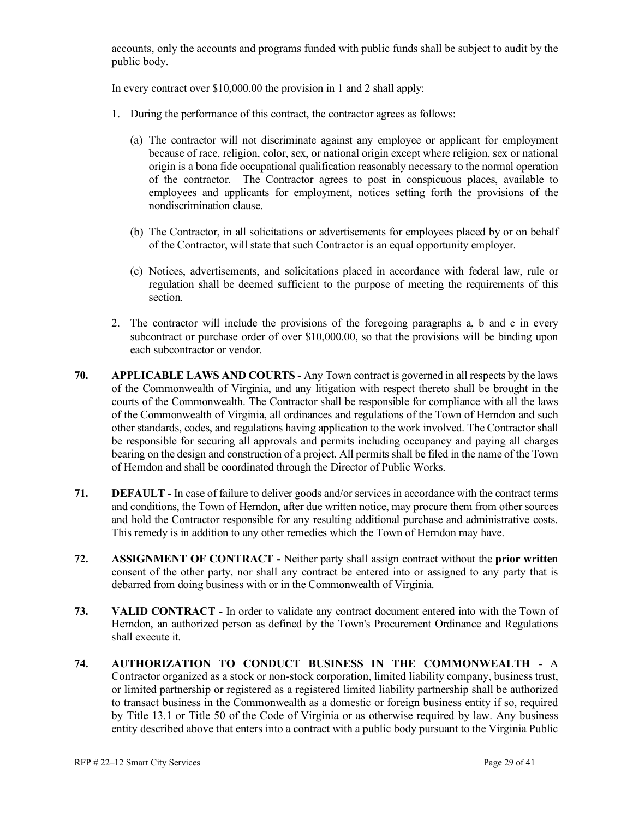accounts, only the accounts and programs funded with public funds shall be subject to audit by the public body.

In every contract over \$10,000.00 the provision in 1 and 2 shall apply:

- 1. During the performance of this contract, the contractor agrees as follows:
	- (a) The contractor will not discriminate against any employee or applicant for employment because of race, religion, color, sex, or national origin except where religion, sex or national origin is a bona fide occupational qualification reasonably necessary to the normal operation of the contractor. The Contractor agrees to post in conspicuous places, available to employees and applicants for employment, notices setting forth the provisions of the nondiscrimination clause.
	- (b) The Contractor, in all solicitations or advertisements for employees placed by or on behalf of the Contractor, will state that such Contractor is an equal opportunity employer.
	- (c) Notices, advertisements, and solicitations placed in accordance with federal law, rule or regulation shall be deemed sufficient to the purpose of meeting the requirements of this section.
- 2. The contractor will include the provisions of the foregoing paragraphs a, b and c in every subcontract or purchase order of over \$10,000.00, so that the provisions will be binding upon each subcontractor or vendor.
- **70. APPLICABLE LAWS AND COURTS -** Any Town contract is governed in all respects by the laws of the Commonwealth of Virginia, and any litigation with respect thereto shall be brought in the courts of the Commonwealth. The Contractor shall be responsible for compliance with all the laws of the Commonwealth of Virginia, all ordinances and regulations of the Town of Herndon and such other standards, codes, and regulations having application to the work involved. The Contractor shall be responsible for securing all approvals and permits including occupancy and paying all charges bearing on the design and construction of a project. All permits shall be filed in the name of the Town of Herndon and shall be coordinated through the Director of Public Works.
- **71. DEFAULT -** In case of failure to deliver goods and/or services in accordance with the contract terms and conditions, the Town of Herndon, after due written notice, may procure them from other sources and hold the Contractor responsible for any resulting additional purchase and administrative costs. This remedy is in addition to any other remedies which the Town of Herndon may have.
- **72. ASSIGNMENT OF CONTRACT -** Neither party shall assign contract without the **prior written** consent of the other party, nor shall any contract be entered into or assigned to any party that is debarred from doing business with or in the Commonwealth of Virginia.
- **73. VALID CONTRACT -** In order to validate any contract document entered into with the Town of Herndon, an authorized person as defined by the Town's Procurement Ordinance and Regulations shall execute it.
- **74. AUTHORIZATION TO CONDUCT BUSINESS IN THE COMMONWEALTH -** A Contractor organized as a stock or non-stock corporation, limited liability company, business trust, or limited partnership or registered as a registered limited liability partnership shall be authorized to transact business in the Commonwealth as a domestic or foreign business entity if so, required by Title 13.1 or Title 50 of the Code of Virginia or as otherwise required by law. Any business entity described above that enters into a contract with a public body pursuant to the Virginia Public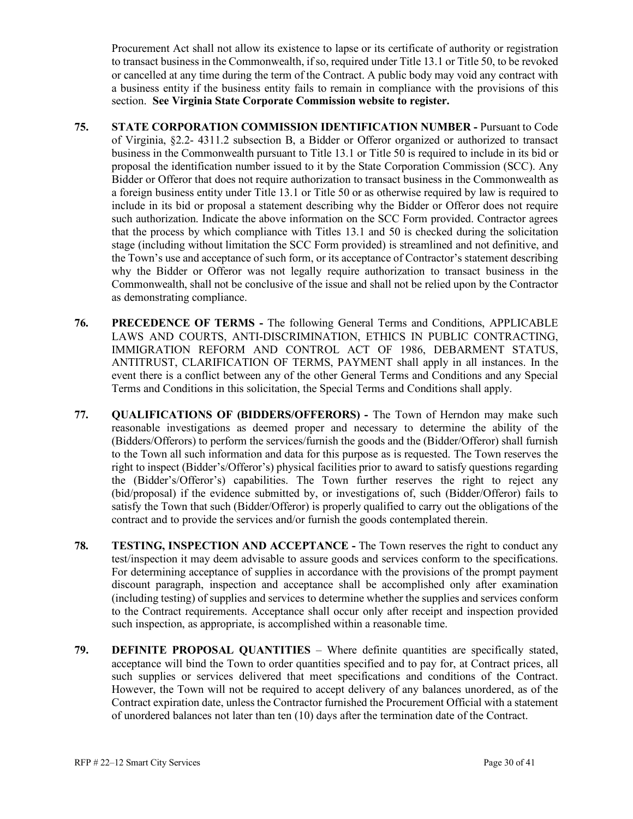Procurement Act shall not allow its existence to lapse or its certificate of authority or registration to transact business in the Commonwealth, if so, required under Title 13.1 or Title 50, to be revoked or cancelled at any time during the term of the Contract. A public body may void any contract with a business entity if the business entity fails to remain in compliance with the provisions of this section. **See Virginia State Corporate Commission website to register.**

- **75. STATE CORPORATION COMMISSION IDENTIFICATION NUMBER -** Pursuant to Code of Virginia, §2.2- 4311.2 subsection B, a Bidder or Offeror organized or authorized to transact business in the Commonwealth pursuant to Title 13.1 or Title 50 is required to include in its bid or proposal the identification number issued to it by the State Corporation Commission (SCC). Any Bidder or Offeror that does not require authorization to transact business in the Commonwealth as a foreign business entity under Title 13.1 or Title 50 or as otherwise required by law is required to include in its bid or proposal a statement describing why the Bidder or Offeror does not require such authorization. Indicate the above information on the SCC Form provided. Contractor agrees that the process by which compliance with Titles 13.1 and 50 is checked during the solicitation stage (including without limitation the SCC Form provided) is streamlined and not definitive, and the Town's use and acceptance of such form, or its acceptance of Contractor's statement describing why the Bidder or Offeror was not legally require authorization to transact business in the Commonwealth, shall not be conclusive of the issue and shall not be relied upon by the Contractor as demonstrating compliance.
- **76. PRECEDENCE OF TERMS -** The following General Terms and Conditions, APPLICABLE LAWS AND COURTS, ANTI-DISCRIMINATION, ETHICS IN PUBLIC CONTRACTING, IMMIGRATION REFORM AND CONTROL ACT OF 1986, DEBARMENT STATUS, ANTITRUST, CLARIFICATION OF TERMS, PAYMENT shall apply in all instances. In the event there is a conflict between any of the other General Terms and Conditions and any Special Terms and Conditions in this solicitation, the Special Terms and Conditions shall apply.
- **77. QUALIFICATIONS OF (BIDDERS/OFFERORS) -** The Town of Herndon may make such reasonable investigations as deemed proper and necessary to determine the ability of the (Bidders/Offerors) to perform the services/furnish the goods and the (Bidder/Offeror) shall furnish to the Town all such information and data for this purpose as is requested. The Town reserves the right to inspect (Bidder's/Offeror's) physical facilities prior to award to satisfy questions regarding the (Bidder's/Offeror's) capabilities. The Town further reserves the right to reject any (bid/proposal) if the evidence submitted by, or investigations of, such (Bidder/Offeror) fails to satisfy the Town that such (Bidder/Offeror) is properly qualified to carry out the obligations of the contract and to provide the services and/or furnish the goods contemplated therein.
- **78. TESTING, INSPECTION AND ACCEPTANCE -** The Town reserves the right to conduct any test/inspection it may deem advisable to assure goods and services conform to the specifications. For determining acceptance of supplies in accordance with the provisions of the prompt payment discount paragraph, inspection and acceptance shall be accomplished only after examination (including testing) of supplies and services to determine whether the supplies and services conform to the Contract requirements. Acceptance shall occur only after receipt and inspection provided such inspection, as appropriate, is accomplished within a reasonable time.
- **79. DEFINITE PROPOSAL QUANTITIES** Where definite quantities are specifically stated, acceptance will bind the Town to order quantities specified and to pay for, at Contract prices, all such supplies or services delivered that meet specifications and conditions of the Contract. However, the Town will not be required to accept delivery of any balances unordered, as of the Contract expiration date, unless the Contractor furnished the Procurement Official with a statement of unordered balances not later than ten (10) days after the termination date of the Contract.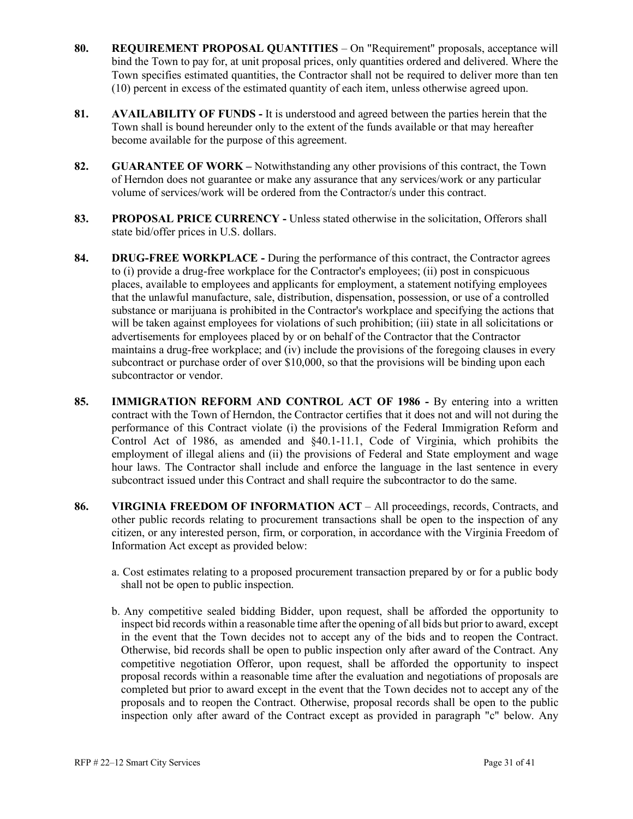- **80. REQUIREMENT PROPOSAL QUANTITIES** On "Requirement" proposals, acceptance will bind the Town to pay for, at unit proposal prices, only quantities ordered and delivered. Where the Town specifies estimated quantities, the Contractor shall not be required to deliver more than ten (10) percent in excess of the estimated quantity of each item, unless otherwise agreed upon.
- **81. AVAILABILITY OF FUNDS -** It is understood and agreed between the parties herein that the Town shall is bound hereunder only to the extent of the funds available or that may hereafter become available for the purpose of this agreement.
- **82. GUARANTEE OF WORK –** Notwithstanding any other provisions of this contract, the Town of Herndon does not guarantee or make any assurance that any services/work or any particular volume of services/work will be ordered from the Contractor/s under this contract.
- **83. PROPOSAL PRICE CURRENCY -** Unless stated otherwise in the solicitation, Offerors shall state bid/offer prices in U.S. dollars.
- **84. DRUG-FREE WORKPLACE -** During the performance of this contract, the Contractor agrees to (i) provide a drug-free workplace for the Contractor's employees; (ii) post in conspicuous places, available to employees and applicants for employment, a statement notifying employees that the unlawful manufacture, sale, distribution, dispensation, possession, or use of a controlled substance or marijuana is prohibited in the Contractor's workplace and specifying the actions that will be taken against employees for violations of such prohibition; (iii) state in all solicitations or advertisements for employees placed by or on behalf of the Contractor that the Contractor maintains a drug-free workplace; and (iv) include the provisions of the foregoing clauses in every subcontract or purchase order of over \$10,000, so that the provisions will be binding upon each subcontractor or vendor.
- **85. IMMIGRATION REFORM AND CONTROL ACT OF 1986 -** By entering into a written contract with the Town of Herndon, the Contractor certifies that it does not and will not during the performance of this Contract violate (i) the provisions of the Federal Immigration Reform and Control Act of 1986, as amended and §40.1-11.1, Code of Virginia, which prohibits the employment of illegal aliens and (ii) the provisions of Federal and State employment and wage hour laws. The Contractor shall include and enforce the language in the last sentence in every subcontract issued under this Contract and shall require the subcontractor to do the same.
- **86. VIRGINIA FREEDOM OF INFORMATION ACT** All proceedings, records, Contracts, and other public records relating to procurement transactions shall be open to the inspection of any citizen, or any interested person, firm, or corporation, in accordance with the Virginia Freedom of Information Act except as provided below:
	- a. Cost estimates relating to a proposed procurement transaction prepared by or for a public body shall not be open to public inspection.
	- b. Any competitive sealed bidding Bidder, upon request, shall be afforded the opportunity to inspect bid records within a reasonable time after the opening of all bids but prior to award, except in the event that the Town decides not to accept any of the bids and to reopen the Contract. Otherwise, bid records shall be open to public inspection only after award of the Contract. Any competitive negotiation Offeror, upon request, shall be afforded the opportunity to inspect proposal records within a reasonable time after the evaluation and negotiations of proposals are completed but prior to award except in the event that the Town decides not to accept any of the proposals and to reopen the Contract. Otherwise, proposal records shall be open to the public inspection only after award of the Contract except as provided in paragraph "c" below. Any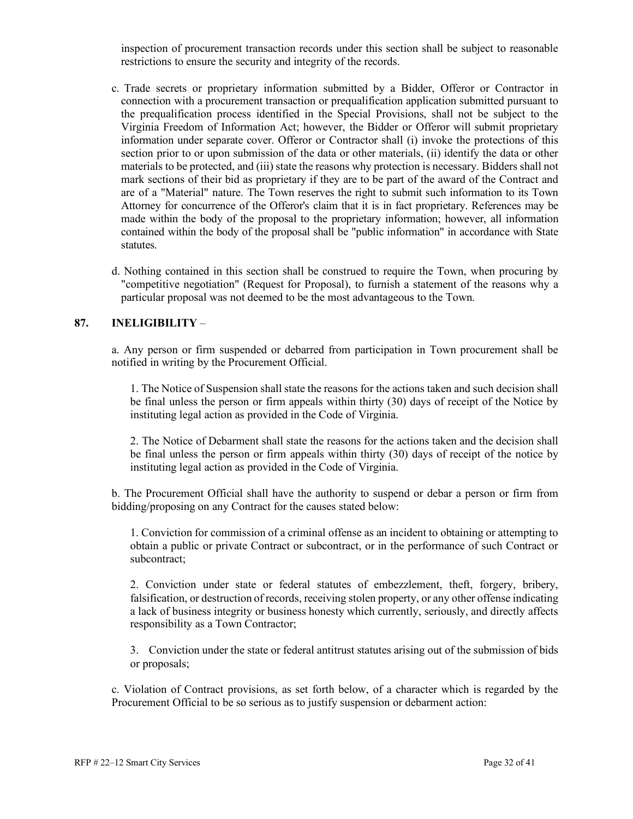inspection of procurement transaction records under this section shall be subject to reasonable restrictions to ensure the security and integrity of the records.

- c. Trade secrets or proprietary information submitted by a Bidder, Offeror or Contractor in connection with a procurement transaction or prequalification application submitted pursuant to the prequalification process identified in the Special Provisions, shall not be subject to the Virginia Freedom of Information Act; however, the Bidder or Offeror will submit proprietary information under separate cover. Offeror or Contractor shall (i) invoke the protections of this section prior to or upon submission of the data or other materials, (ii) identify the data or other materials to be protected, and (iii) state the reasons why protection is necessary. Bidders shall not mark sections of their bid as proprietary if they are to be part of the award of the Contract and are of a "Material" nature. The Town reserves the right to submit such information to its Town Attorney for concurrence of the Offeror's claim that it is in fact proprietary. References may be made within the body of the proposal to the proprietary information; however, all information contained within the body of the proposal shall be "public information" in accordance with State statutes.
- d. Nothing contained in this section shall be construed to require the Town, when procuring by "competitive negotiation" (Request for Proposal), to furnish a statement of the reasons why a particular proposal was not deemed to be the most advantageous to the Town.

#### **87. INELIGIBILITY** –

a. Any person or firm suspended or debarred from participation in Town procurement shall be notified in writing by the Procurement Official.

1. The Notice of Suspension shall state the reasons for the actions taken and such decision shall be final unless the person or firm appeals within thirty (30) days of receipt of the Notice by instituting legal action as provided in the Code of Virginia.

2. The Notice of Debarment shall state the reasons for the actions taken and the decision shall be final unless the person or firm appeals within thirty (30) days of receipt of the notice by instituting legal action as provided in the Code of Virginia.

b. The Procurement Official shall have the authority to suspend or debar a person or firm from bidding/proposing on any Contract for the causes stated below:

1. Conviction for commission of a criminal offense as an incident to obtaining or attempting to obtain a public or private Contract or subcontract, or in the performance of such Contract or subcontract;

2. Conviction under state or federal statutes of embezzlement, theft, forgery, bribery, falsification, or destruction of records, receiving stolen property, or any other offense indicating a lack of business integrity or business honesty which currently, seriously, and directly affects responsibility as a Town Contractor;

3. Conviction under the state or federal antitrust statutes arising out of the submission of bids or proposals;

c. Violation of Contract provisions, as set forth below, of a character which is regarded by the Procurement Official to be so serious as to justify suspension or debarment action: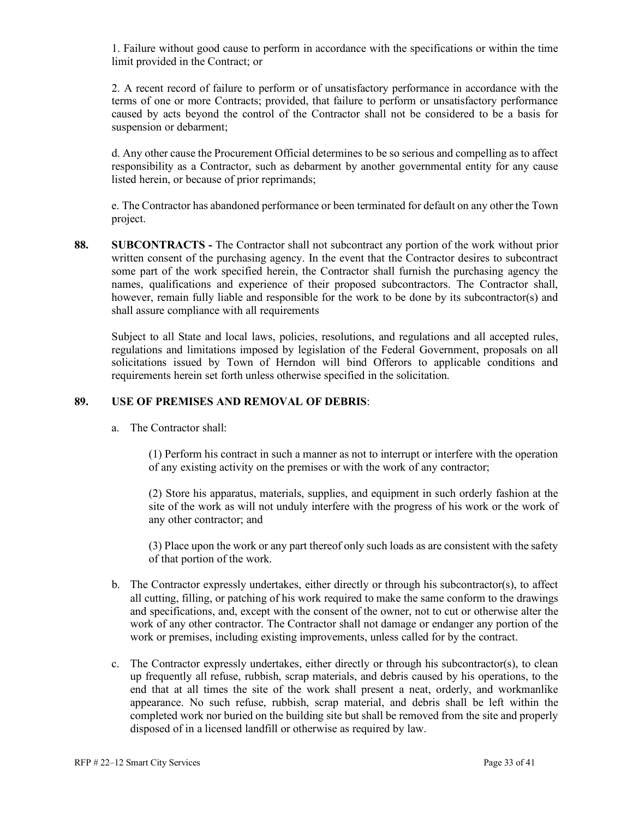1. Failure without good cause to perform in accordance with the specifications or within the time limit provided in the Contract; or

2. A recent record of failure to perform or of unsatisfactory performance in accordance with the terms of one or more Contracts; provided, that failure to perform or unsatisfactory performance caused by acts beyond the control of the Contractor shall not be considered to be a basis for suspension or debarment;

d. Any other cause the Procurement Official determines to be so serious and compelling as to affect responsibility as a Contractor, such as debarment by another governmental entity for any cause listed herein, or because of prior reprimands;

e. The Contractor has abandoned performance or been terminated for default on any other the Town project.

**88. SUBCONTRACTS -** The Contractor shall not subcontract any portion of the work without prior written consent of the purchasing agency. In the event that the Contractor desires to subcontract some part of the work specified herein, the Contractor shall furnish the purchasing agency the names, qualifications and experience of their proposed subcontractors. The Contractor shall, however, remain fully liable and responsible for the work to be done by its subcontractor(s) and shall assure compliance with all requirements

Subject to all State and local laws, policies, resolutions, and regulations and all accepted rules, regulations and limitations imposed by legislation of the Federal Government, proposals on all solicitations issued by Town of Herndon will bind Offerors to applicable conditions and requirements herein set forth unless otherwise specified in the solicitation.

#### **89. USE OF PREMISES AND REMOVAL OF DEBRIS**:

a. The Contractor shall:

(1) Perform his contract in such a manner as not to interrupt or interfere with the operation of any existing activity on the premises or with the work of any contractor;

(2) Store his apparatus, materials, supplies, and equipment in such orderly fashion at the site of the work as will not unduly interfere with the progress of his work or the work of any other contractor; and

(3) Place upon the work or any part thereof only such loads as are consistent with the safety of that portion of the work.

- b. The Contractor expressly undertakes, either directly or through his subcontractor(s), to affect all cutting, filling, or patching of his work required to make the same conform to the drawings and specifications, and, except with the consent of the owner, not to cut or otherwise alter the work of any other contractor. The Contractor shall not damage or endanger any portion of the work or premises, including existing improvements, unless called for by the contract.
- c. The Contractor expressly undertakes, either directly or through his subcontractor(s), to clean up frequently all refuse, rubbish, scrap materials, and debris caused by his operations, to the end that at all times the site of the work shall present a neat, orderly, and workmanlike appearance. No such refuse, rubbish, scrap material, and debris shall be left within the completed work nor buried on the building site but shall be removed from the site and properly disposed of in a licensed landfill or otherwise as required by law.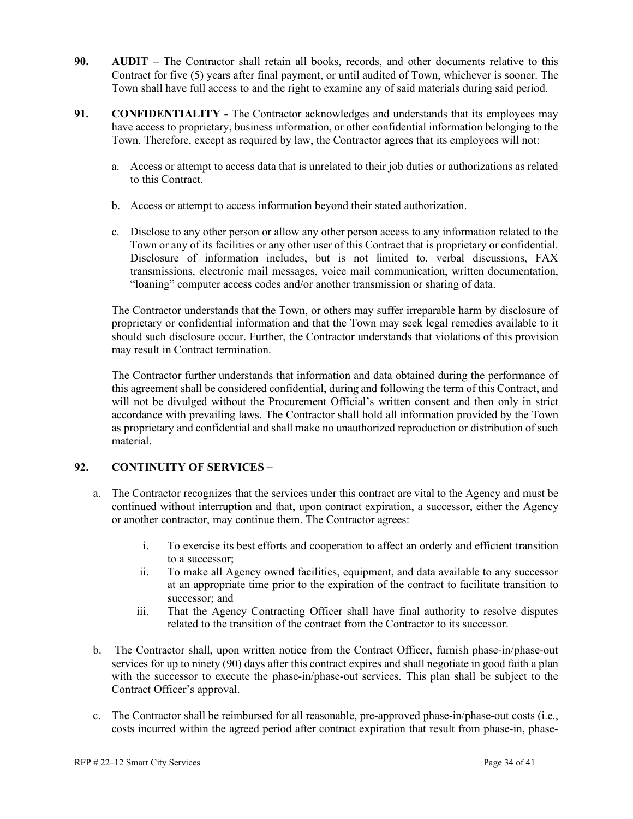- **90. AUDIT** The Contractor shall retain all books, records, and other documents relative to this Contract for five (5) years after final payment, or until audited of Town, whichever is sooner. The Town shall have full access to and the right to examine any of said materials during said period.
- **91. CONFIDENTIALITY -** The Contractor acknowledges and understands that its employees may have access to proprietary, business information, or other confidential information belonging to the Town. Therefore, except as required by law, the Contractor agrees that its employees will not:
	- a. Access or attempt to access data that is unrelated to their job duties or authorizations as related to this Contract.
	- b. Access or attempt to access information beyond their stated authorization.
	- c. Disclose to any other person or allow any other person access to any information related to the Town or any of its facilities or any other user of this Contract that is proprietary or confidential. Disclosure of information includes, but is not limited to, verbal discussions, FAX transmissions, electronic mail messages, voice mail communication, written documentation, "loaning" computer access codes and/or another transmission or sharing of data.

The Contractor understands that the Town, or others may suffer irreparable harm by disclosure of proprietary or confidential information and that the Town may seek legal remedies available to it should such disclosure occur. Further, the Contractor understands that violations of this provision may result in Contract termination.

The Contractor further understands that information and data obtained during the performance of this agreement shall be considered confidential, during and following the term of this Contract, and will not be divulged without the Procurement Official's written consent and then only in strict accordance with prevailing laws. The Contractor shall hold all information provided by the Town as proprietary and confidential and shall make no unauthorized reproduction or distribution of such material.

#### **92. CONTINUITY OF SERVICES –**

- a. The Contractor recognizes that the services under this contract are vital to the Agency and must be continued without interruption and that, upon contract expiration, a successor, either the Agency or another contractor, may continue them. The Contractor agrees:
	- i. To exercise its best efforts and cooperation to affect an orderly and efficient transition to a successor;
	- ii. To make all Agency owned facilities, equipment, and data available to any successor at an appropriate time prior to the expiration of the contract to facilitate transition to successor; and
	- iii. That the Agency Contracting Officer shall have final authority to resolve disputes related to the transition of the contract from the Contractor to its successor.
- b. The Contractor shall, upon written notice from the Contract Officer, furnish phase-in/phase-out services for up to ninety (90) days after this contract expires and shall negotiate in good faith a plan with the successor to execute the phase-in/phase-out services. This plan shall be subject to the Contract Officer's approval.
- c. The Contractor shall be reimbursed for all reasonable, pre-approved phase-in/phase-out costs (i.e., costs incurred within the agreed period after contract expiration that result from phase-in, phase-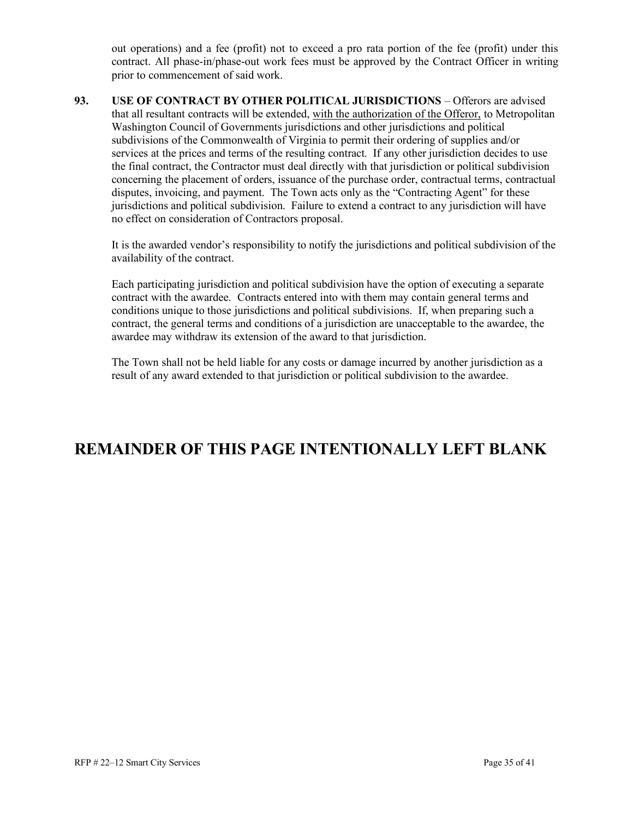out operations) and a fee (profit) not to exceed a pro rata portion of the fee (profit) under this contract. All phase-in/phase-out work fees must be approved by the Contract Officer in writing prior to commencement of said work.

**93. USE OF CONTRACT BY OTHER POLITICAL JURISDICTIONS** – Offerors are advised that all resultant contracts will be extended, with the authorization of the Offeror, to Metropolitan Washington Council of Governments jurisdictions and other jurisdictions and political subdivisions of the Commonwealth of Virginia to permit their ordering of supplies and/or services at the prices and terms of the resulting contract. If any other jurisdiction decides to use the final contract, the Contractor must deal directly with that jurisdiction or political subdivision concerning the placement of orders, issuance of the purchase order, contractual terms, contractual disputes, invoicing, and payment. The Town acts only as the "Contracting Agent" for these jurisdictions and political subdivision. Failure to extend a contract to any jurisdiction will have no effect on consideration of Contractors proposal.

It is the awarded vendor's responsibility to notify the jurisdictions and political subdivision of the availability of the contract.

Each participating jurisdiction and political subdivision have the option of executing a separate contract with the awardee. Contracts entered into with them may contain general terms and conditions unique to those jurisdictions and political subdivisions. If, when preparing such a contract, the general terms and conditions of a jurisdiction are unacceptable to the awardee, the awardee may withdraw its extension of the award to that jurisdiction.

The Town shall not be held liable for any costs or damage incurred by another jurisdiction as a result of any award extended to that jurisdiction or political subdivision to the awardee.

# **REMAINDER OF THIS PAGE INTENTIONALLY LEFT BLANK**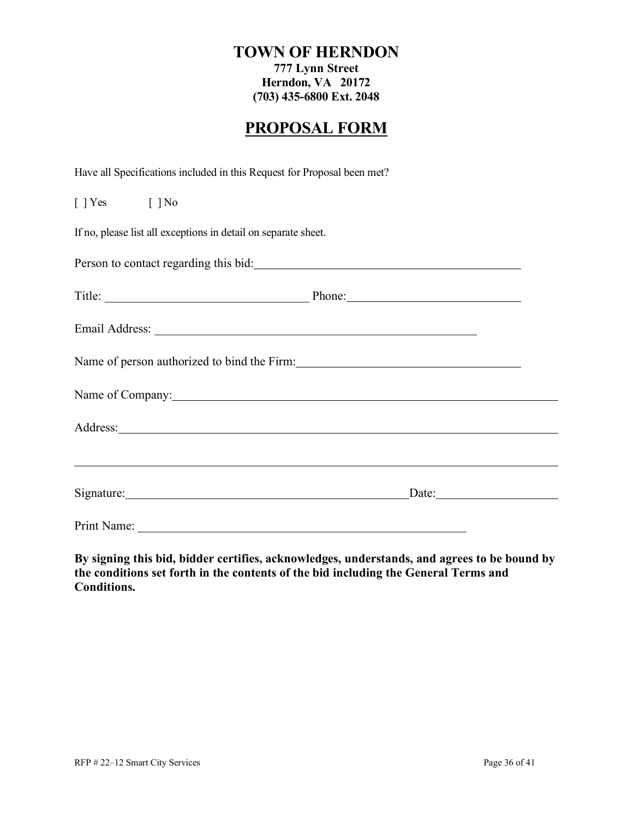#### **TOWN OF HERNDON**

**777 Lynn Street Herndon, VA 20172 (703) 435-6800 Ext. 2048**

# **PROPOSAL FORM**

Have all Specifications included in this Request for Proposal been met?

| $[ ]$ Yes $[ ]$ No                                                                                             |       |
|----------------------------------------------------------------------------------------------------------------|-------|
| If no, please list all exceptions in detail on separate sheet.                                                 |       |
| Person to contact regarding this bid:                                                                          |       |
| Title: Phone: Phone:                                                                                           |       |
|                                                                                                                |       |
|                                                                                                                |       |
| Name of Company: 1997 and 2008 and 2009 and 2009 and 2009 and 2009 and 2009 and 2009 and 2009 and 2009 and 200 |       |
| Address: <u>Address:</u>                                                                                       |       |
| <u> 2000 - Andrea Andrewski, amerikansk politik (d. 1982)</u>                                                  |       |
|                                                                                                                | Date: |
|                                                                                                                |       |

**By signing this bid, bidder certifies, acknowledges, understands, and agrees to be bound by the conditions set forth in the contents of the bid including the General Terms and Conditions.**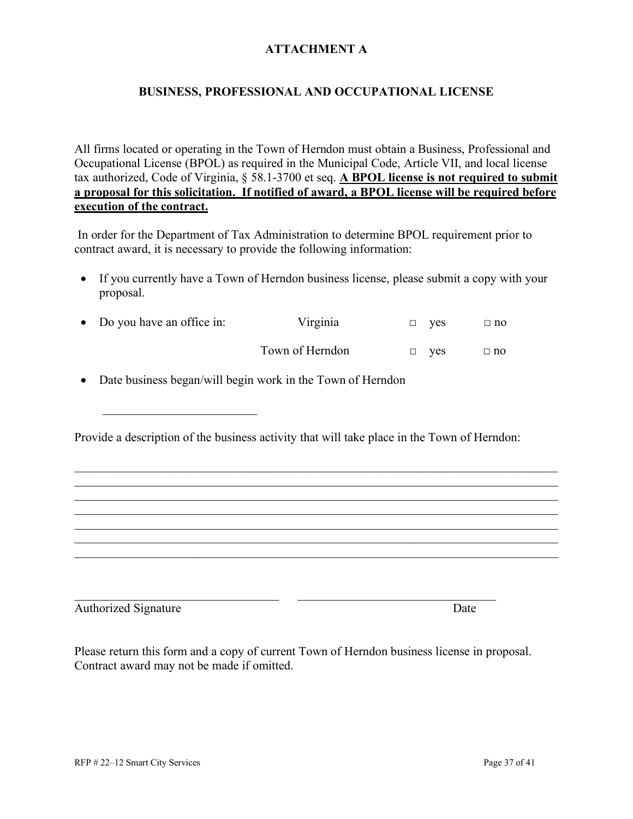#### **ATTACHMENT A**

#### **BUSINESS, PROFESSIONAL AND OCCUPATIONAL LICENSE**

All firms located or operating in the Town of Herndon must obtain a Business, Professional and Occupational License (BPOL) as required in the Municipal Code, Article VII, and local license tax authorized, Code of Virginia, § 58.1-3700 et seq. **A BPOL license is not required to submit a proposal for this solicitation. If notified of award, a BPOL license will be required before execution of the contract.**

In order for the Department of Tax Administration to determine BPOL requirement prior to contract award, it is necessary to provide the following information:

• If you currently have a Town of Herndon business license, please submit a copy with your proposal.

| • Do you have an office in: | Virginia        | $\Box$ ves | $\Box$ no |
|-----------------------------|-----------------|------------|-----------|
|                             | Town of Herndon | $\Box$ ves | $\Box$ no |

• Date business began/will begin work in the Town of Herndon

\_\_\_\_\_\_\_\_\_\_\_\_\_\_\_\_\_\_\_\_\_\_\_\_\_

Provide a description of the business activity that will take place in the Town of Herndon:

\_\_\_\_\_\_\_\_\_\_\_\_\_\_\_\_\_\_\_\_\_\_\_\_\_\_\_\_\_\_\_\_\_\_\_\_\_\_\_\_\_\_\_\_\_\_\_\_\_\_\_\_\_\_\_\_\_\_\_\_\_\_\_\_\_\_\_\_\_\_\_\_\_\_\_\_\_\_

\_\_\_\_\_\_\_\_\_\_\_\_\_\_\_\_\_\_\_\_\_\_\_\_\_\_\_\_\_\_\_\_\_\_\_\_\_\_\_\_\_\_\_\_\_\_\_\_\_\_\_\_\_\_\_\_\_\_\_\_\_\_\_\_\_\_\_\_\_\_\_\_\_\_\_\_\_\_

\_\_\_\_\_\_\_\_\_\_\_\_\_\_\_\_\_\_\_\_\_\_\_\_\_\_\_\_\_\_\_\_\_\_\_\_\_\_\_\_\_\_\_\_\_\_\_\_\_\_\_\_\_\_\_\_\_\_\_\_\_\_\_\_\_\_\_\_\_\_\_\_\_\_\_\_\_\_

Authorized Signature Date

Please return this form and a copy of current Town of Herndon business license in proposal. Contract award may not be made if omitted.

 $\_$  , and the set of the set of the set of the set of the set of the set of the set of the set of the set of the set of the set of the set of the set of the set of the set of the set of the set of the set of the set of th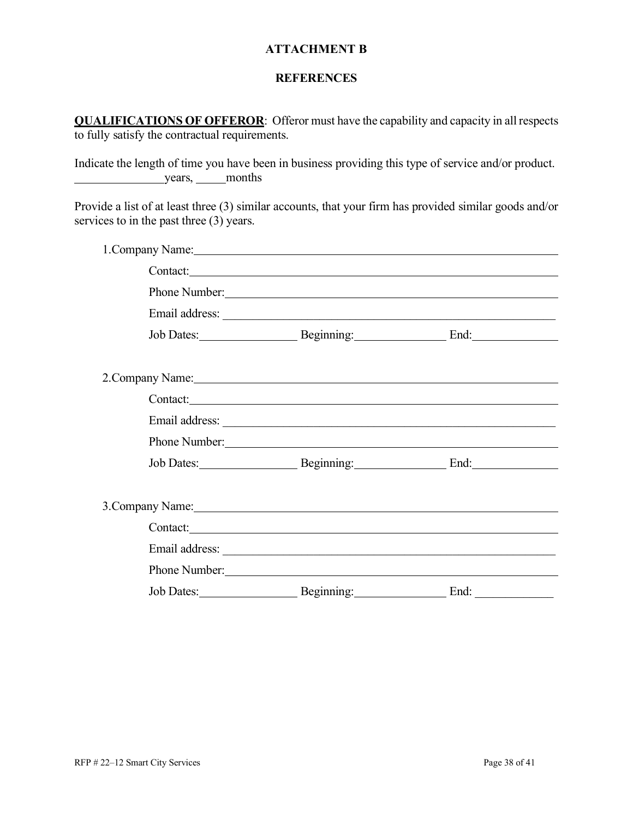#### **ATTACHMENT B**

#### **REFERENCES**

**QUALIFICATIONS OF OFFEROR**: Offeror must have the capability and capacity in all respects to fully satisfy the contractual requirements.

Indicate the length of time you have been in business providing this type of service and/or product. years, months

Provide a list of at least three (3) similar accounts, that your firm has provided similar goods and/or services to in the past three (3) years.

| 1. Company Name: 1. 2008                                                                                                                                                                                                       |      |  |
|--------------------------------------------------------------------------------------------------------------------------------------------------------------------------------------------------------------------------------|------|--|
| Contact:                                                                                                                                                                                                                       |      |  |
|                                                                                                                                                                                                                                |      |  |
|                                                                                                                                                                                                                                |      |  |
| Job Dates: Beginning: End: End:                                                                                                                                                                                                |      |  |
|                                                                                                                                                                                                                                |      |  |
|                                                                                                                                                                                                                                |      |  |
| Contact:                                                                                                                                                                                                                       |      |  |
|                                                                                                                                                                                                                                |      |  |
| Phone Number: New York Changes and the Changes of the Changes of the Changes of the Changes of the Changes of the Changes of the Changes of the Changes of the Changes of the Changes of the Changes of the Changes of the Cha |      |  |
| Job Dates: Beginning: End: End:                                                                                                                                                                                                |      |  |
|                                                                                                                                                                                                                                |      |  |
| 3. Company Name: 1988 Company Name: 1988 Company Name: 1988 Company Name: 1988 Company Name: 1988 Company Name: 1988 Company Name: 1988 Company Name: 1988 Company Name: 1988 Company Name: 1988 Company Name: 1988 Company Na |      |  |
| Contact:                                                                                                                                                                                                                       |      |  |
|                                                                                                                                                                                                                                |      |  |
|                                                                                                                                                                                                                                |      |  |
| Job Dates: Beginning:                                                                                                                                                                                                          | End: |  |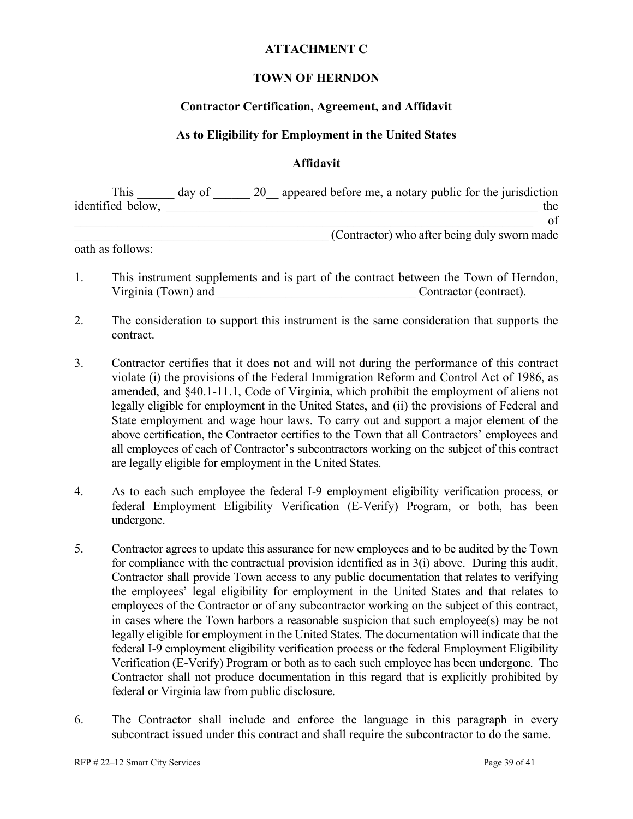#### **ATTACHMENT C**

#### **TOWN OF HERNDON**

#### **Contractor Certification, Agreement, and Affidavit**

#### **As to Eligibility for Employment in the United States**

#### **Affidavit**

| <b>This</b>       | day of | appeared before me, a notary public for the jurisdiction |
|-------------------|--------|----------------------------------------------------------|
| identified below, |        | the                                                      |
|                   |        |                                                          |
|                   |        | (Contractor) who after being duly sworn made             |

oath as follows:

- 1. This instrument supplements and is part of the contract between the Town of Herndon, Virginia (Town) and <br>
Contractor (contract).
- 2. The consideration to support this instrument is the same consideration that supports the contract.
- 3. Contractor certifies that it does not and will not during the performance of this contract violate (i) the provisions of the Federal Immigration Reform and Control Act of 1986, as amended, and §40.1-11.1, Code of Virginia, which prohibit the employment of aliens not legally eligible for employment in the United States, and (ii) the provisions of Federal and State employment and wage hour laws. To carry out and support a major element of the above certification, the Contractor certifies to the Town that all Contractors' employees and all employees of each of Contractor's subcontractors working on the subject of this contract are legally eligible for employment in the United States.
- 4. As to each such employee the federal I-9 employment eligibility verification process, or federal Employment Eligibility Verification (E-Verify) Program, or both, has been undergone.
- 5. Contractor agrees to update this assurance for new employees and to be audited by the Town for compliance with the contractual provision identified as in 3(i) above. During this audit, Contractor shall provide Town access to any public documentation that relates to verifying the employees' legal eligibility for employment in the United States and that relates to employees of the Contractor or of any subcontractor working on the subject of this contract, in cases where the Town harbors a reasonable suspicion that such employee(s) may be not legally eligible for employment in the United States. The documentation will indicate that the federal I-9 employment eligibility verification process or the federal Employment Eligibility Verification (E-Verify) Program or both as to each such employee has been undergone. The Contractor shall not produce documentation in this regard that is explicitly prohibited by federal or Virginia law from public disclosure.
- 6. The Contractor shall include and enforce the language in this paragraph in every subcontract issued under this contract and shall require the subcontractor to do the same.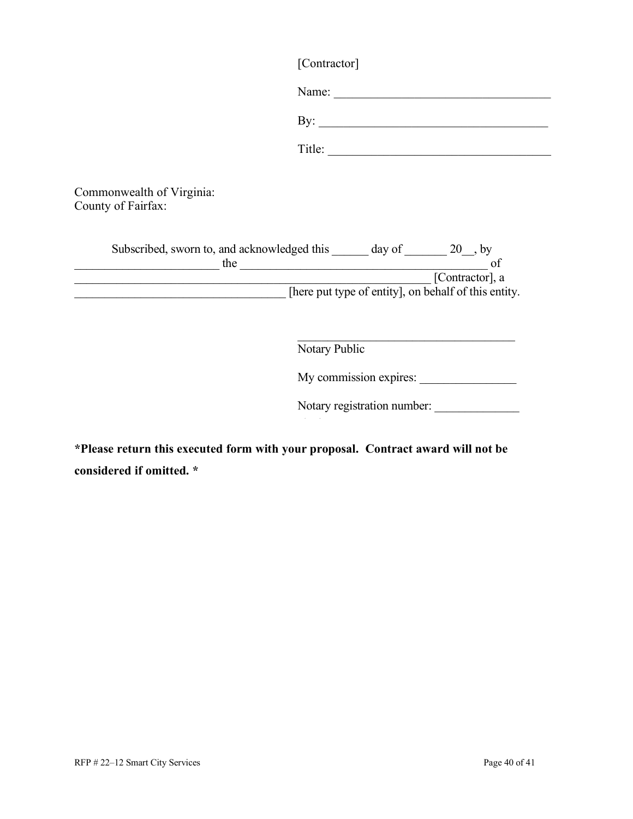| [Contractor] |
|--------------|
|--------------|

|                                                             | Name:                                                                   |
|-------------------------------------------------------------|-------------------------------------------------------------------------|
|                                                             | By: $\qquad \qquad$                                                     |
|                                                             | Title:                                                                  |
| Commonwealth of Virginia:<br>County of Fairfax:             |                                                                         |
|                                                             |                                                                         |
| the control of the control of the control of the control of | [Contractor], a<br>[here put type of entity], on behalf of this entity. |
|                                                             |                                                                         |
|                                                             | Notary Public                                                           |
|                                                             | My commission expires:                                                  |

Notary registration number: \_\_\_\_\_\_\_\_\_\_\_\_\_\_

**\*Please return this executed form with your proposal. Contract award will not be considered if omitted. \***